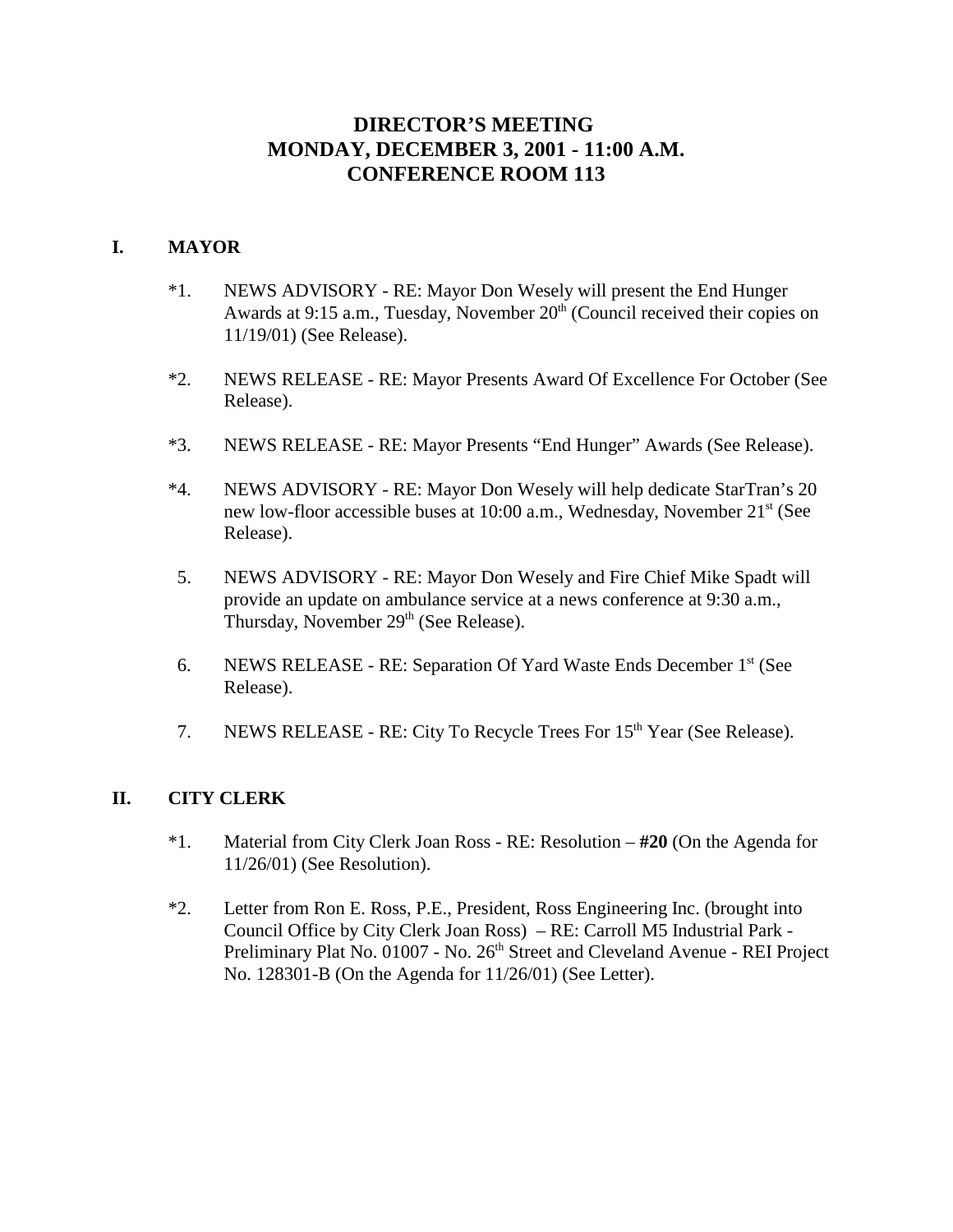# **DIRECTOR'S MEETING MONDAY, DECEMBER 3, 2001 - 11:00 A.M. CONFERENCE ROOM 113**

### **I. MAYOR**

- \*1. NEWS ADVISORY RE: Mayor Don Wesely will present the End Hunger Awards at 9:15 a.m., Tuesday, November  $20<sup>th</sup>$  (Council received their copies on 11/19/01) (See Release).
- \*2. NEWS RELEASE RE: Mayor Presents Award Of Excellence For October (See Release).
- \*3. NEWS RELEASE RE: Mayor Presents "End Hunger" Awards (See Release).
- \*4. NEWS ADVISORY RE: Mayor Don Wesely will help dedicate StarTran's 20 new low-floor accessible buses at 10:00 a.m., Wednesday, November 21<sup>st</sup> (See Release).
- 5. NEWS ADVISORY RE: Mayor Don Wesely and Fire Chief Mike Spadt will provide an update on ambulance service at a news conference at 9:30 a.m., Thursday, November 29<sup>th</sup> (See Release).
- 6. NEWS RELEASE RE: Separation Of Yard Waste Ends December 1st (See Release).
- 7. NEWS RELEASE RE: City To Recycle Trees For 15<sup>th</sup> Year (See Release).

# **II. CITY CLERK**

- \*1. Material from City Clerk Joan Ross RE: Resolution **#20** (On the Agenda for 11/26/01) (See Resolution).
- \*2. Letter from Ron E. Ross, P.E., President, Ross Engineering Inc. (brought into Council Office by City Clerk Joan Ross) – RE: Carroll M5 Industrial Park - Preliminary Plat No. 01007 - No. 26<sup>th</sup> Street and Cleveland Avenue - REI Project No. 128301-B (On the Agenda for 11/26/01) (See Letter).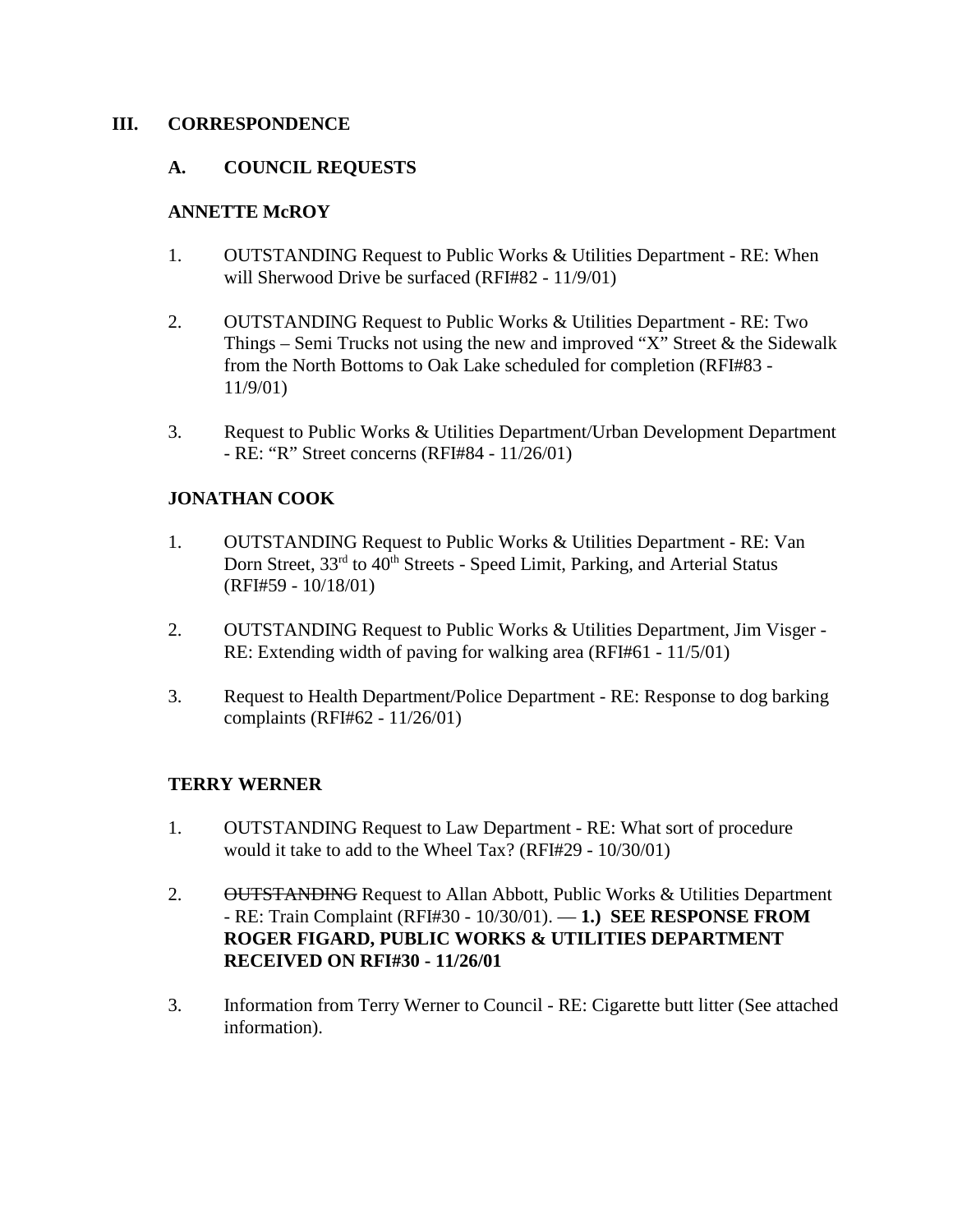### **III. CORRESPONDENCE**

### **A. COUNCIL REQUESTS**

### **ANNETTE McROY**

- 1. OUTSTANDING Request to Public Works & Utilities Department RE: When will Sherwood Drive be surfaced (RFI#82 - 11/9/01)
- 2. OUTSTANDING Request to Public Works & Utilities Department RE: Two Things – Semi Trucks not using the new and improved "X" Street  $\&$  the Sidewalk from the North Bottoms to Oak Lake scheduled for completion (RFI#83 - 11/9/01)
- 3. Request to Public Works & Utilities Department/Urban Development Department - RE: "R" Street concerns (RFI#84 - 11/26/01)

### **JONATHAN COOK**

- 1. OUTSTANDING Request to Public Works & Utilities Department RE: Van Dorn Street, 33<sup>rd</sup> to 40<sup>th</sup> Streets - Speed Limit, Parking, and Arterial Status (RFI#59 - 10/18/01)
- 2. OUTSTANDING Request to Public Works & Utilities Department, Jim Visger RE: Extending width of paving for walking area (RFI#61 - 11/5/01)
- 3. Request to Health Department/Police Department RE: Response to dog barking complaints (RFI#62 - 11/26/01)

### **TERRY WERNER**

- 1. OUTSTANDING Request to Law Department RE: What sort of procedure would it take to add to the Wheel Tax? (RFI#29 - 10/30/01)
- 2. OUTSTANDING Request to Allan Abbott, Public Works & Utilities Department - RE: Train Complaint (RFI#30 - 10/30/01). — **1.) SEE RESPONSE FROM ROGER FIGARD, PUBLIC WORKS & UTILITIES DEPARTMENT RECEIVED ON RFI#30 - 11/26/01**
- 3. Information from Terry Werner to Council RE: Cigarette butt litter (See attached information).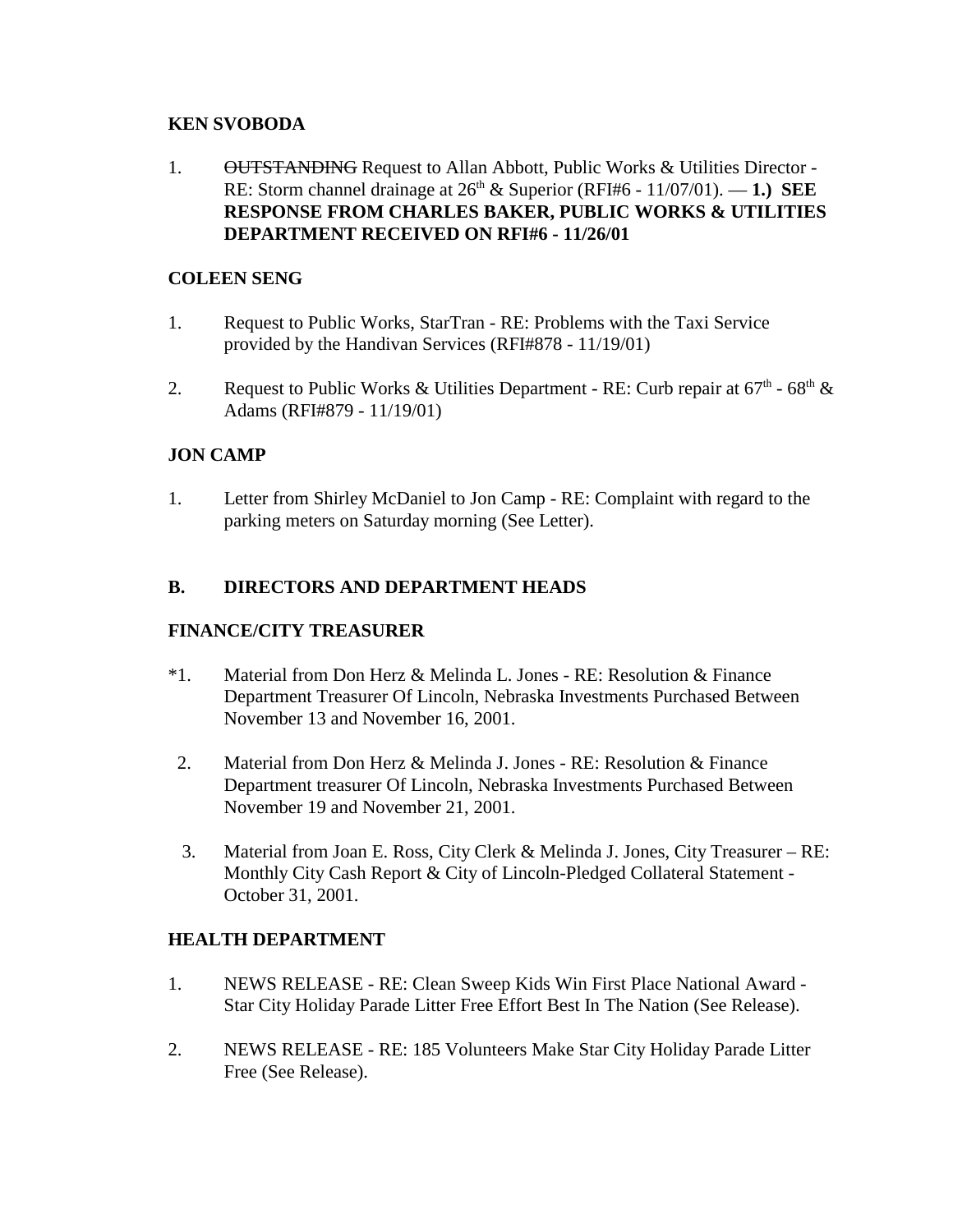# **KEN SVOBODA**

1. OUTSTANDING Request to Allan Abbott, Public Works & Utilities Director -RE: Storm channel drainage at  $26<sup>th</sup>$  & Superior (RFI#6 - 11/07/01). — **1.)** SEE **RESPONSE FROM CHARLES BAKER, PUBLIC WORKS & UTILITIES DEPARTMENT RECEIVED ON RFI#6 - 11/26/01** 

# **COLEEN SENG**

- 1. Request to Public Works, StarTran RE: Problems with the Taxi Service provided by the Handivan Services (RFI#878 - 11/19/01)
- 2. Request to Public Works & Utilities Department RE: Curb repair at  $67<sup>th</sup>$   $68<sup>th</sup>$  & Adams (RFI#879 - 11/19/01)

# **JON CAMP**

1. Letter from Shirley McDaniel to Jon Camp - RE: Complaint with regard to the parking meters on Saturday morning (See Letter).

# **B. DIRECTORS AND DEPARTMENT HEADS**

# **FINANCE/CITY TREASURER**

- \*1. Material from Don Herz & Melinda L. Jones RE: Resolution & Finance Department Treasurer Of Lincoln, Nebraska Investments Purchased Between November 13 and November 16, 2001.
- 2. Material from Don Herz & Melinda J. Jones RE: Resolution & Finance Department treasurer Of Lincoln, Nebraska Investments Purchased Between November 19 and November 21, 2001.
- 3. Material from Joan E. Ross, City Clerk & Melinda J. Jones, City Treasurer RE: Monthly City Cash Report & City of Lincoln-Pledged Collateral Statement - October 31, 2001.

# **HEALTH DEPARTMENT**

- 1. NEWS RELEASE RE: Clean Sweep Kids Win First Place National Award Star City Holiday Parade Litter Free Effort Best In The Nation (See Release).
- 2. NEWS RELEASE RE: 185 Volunteers Make Star City Holiday Parade Litter Free (See Release).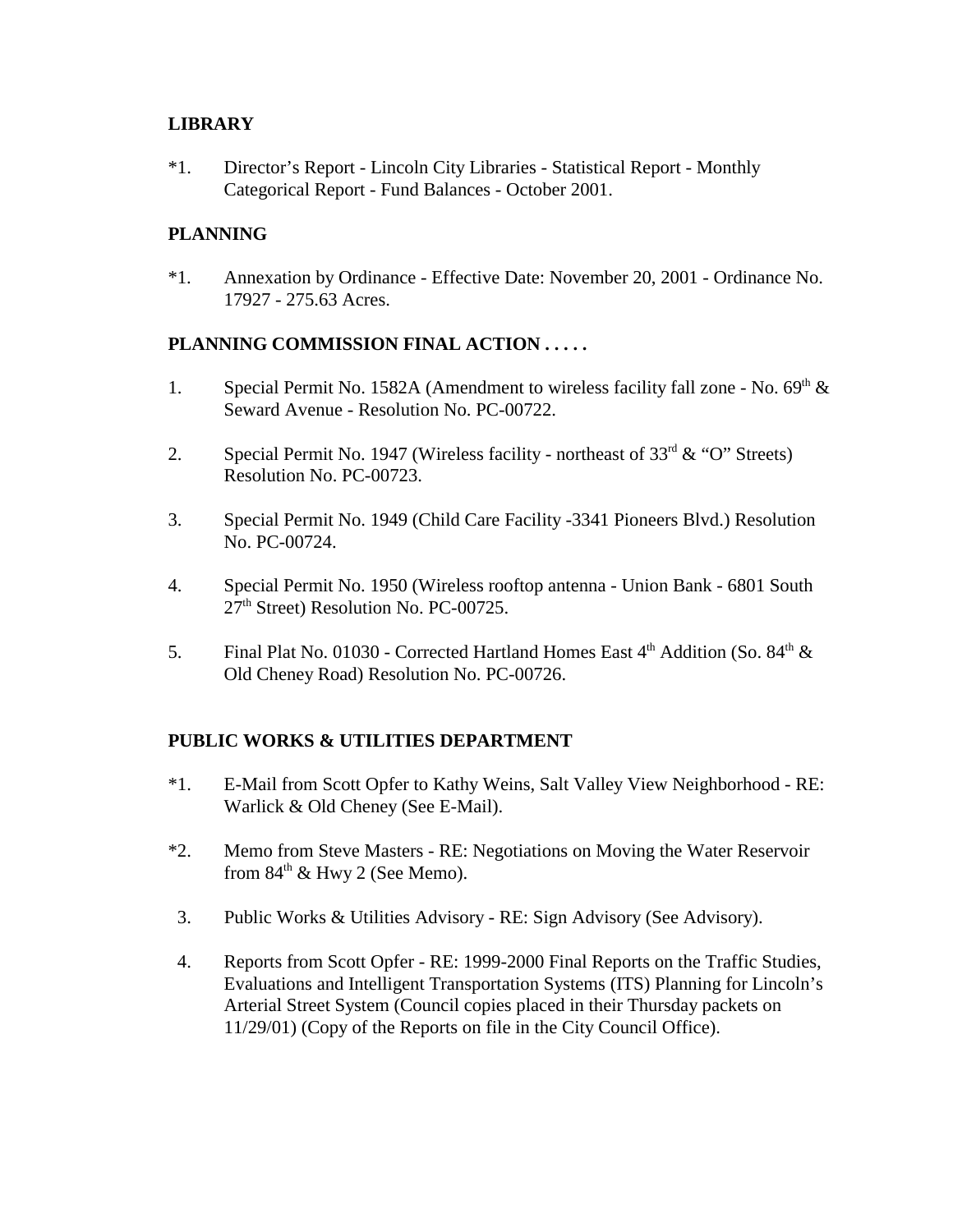### **LIBRARY**

\*1. Director's Report - Lincoln City Libraries - Statistical Report - Monthly Categorical Report - Fund Balances - October 2001.

# **PLANNING**

\*1. Annexation by Ordinance - Effective Date: November 20, 2001 - Ordinance No. 17927 - 275.63 Acres.

# **PLANNING COMMISSION FINAL ACTION . . . . .**

- 1. Special Permit No. 1582A (Amendment to wireless facility fall zone No.  $69<sup>th</sup>$  & Seward Avenue - Resolution No. PC-00722.
- 2. Special Permit No. 1947 (Wireless facility northeast of  $33<sup>rd</sup> \& ^{\circ}$  'O'' Streets) Resolution No. PC-00723.
- 3. Special Permit No. 1949 (Child Care Facility -3341 Pioneers Blvd.) Resolution No. PC-00724.
- 4. Special Permit No. 1950 (Wireless rooftop antenna Union Bank 6801 South 27<sup>th</sup> Street) Resolution No. PC-00725.
- 5. Final Plat No. 01030 Corrected Hartland Homes East  $4<sup>th</sup>$  Addition (So. 84<sup>th</sup>  $\&$ Old Cheney Road) Resolution No. PC-00726.

# **PUBLIC WORKS & UTILITIES DEPARTMENT**

- \*1. E-Mail from Scott Opfer to Kathy Weins, Salt Valley View Neighborhood RE: Warlick & Old Cheney (See E-Mail).
- \*2. Memo from Steve Masters RE: Negotiations on Moving the Water Reservoir from  $84<sup>th</sup>$  & Hwy 2 (See Memo).
- 3. Public Works & Utilities Advisory RE: Sign Advisory (See Advisory).
- 4. Reports from Scott Opfer RE: 1999-2000 Final Reports on the Traffic Studies, Evaluations and Intelligent Transportation Systems (ITS) Planning for Lincoln's Arterial Street System (Council copies placed in their Thursday packets on 11/29/01) (Copy of the Reports on file in the City Council Office).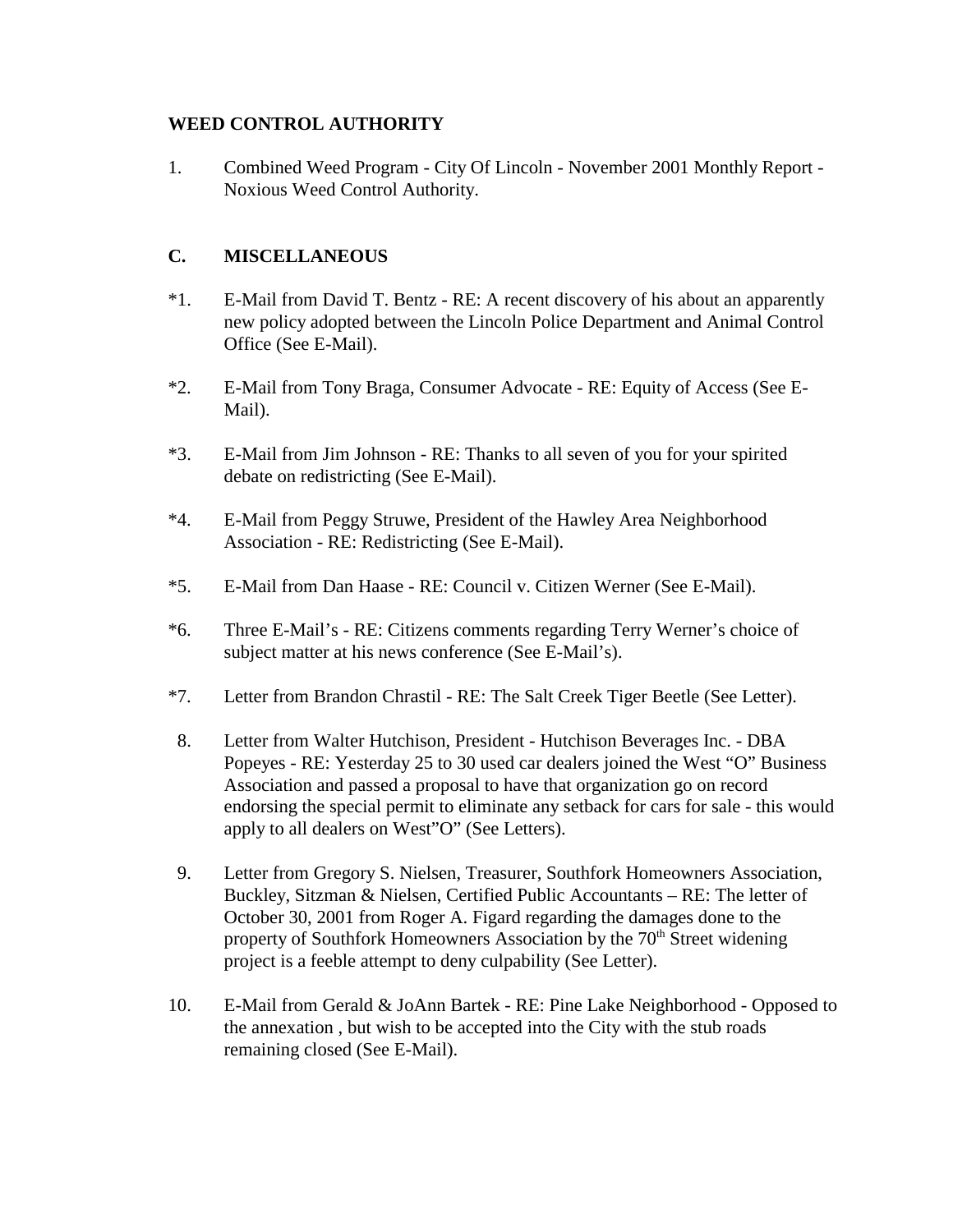# **WEED CONTROL AUTHORITY**

1. Combined Weed Program - City Of Lincoln - November 2001 Monthly Report - Noxious Weed Control Authority.

# **C. MISCELLANEOUS**

- \*1. E-Mail from David T. Bentz RE: A recent discovery of his about an apparently new policy adopted between the Lincoln Police Department and Animal Control Office (See E-Mail).
- \*2. E-Mail from Tony Braga, Consumer Advocate RE: Equity of Access (See E-Mail).
- \*3. E-Mail from Jim Johnson RE: Thanks to all seven of you for your spirited debate on redistricting (See E-Mail).
- \*4. E-Mail from Peggy Struwe, President of the Hawley Area Neighborhood Association - RE: Redistricting (See E-Mail).
- \*5. E-Mail from Dan Haase RE: Council v. Citizen Werner (See E-Mail).
- \*6. Three E-Mail's RE: Citizens comments regarding Terry Werner's choice of subject matter at his news conference (See E-Mail's).
- \*7. Letter from Brandon Chrastil RE: The Salt Creek Tiger Beetle (See Letter).
- 8. Letter from Walter Hutchison, President Hutchison Beverages Inc. DBA Popeyes - RE: Yesterday 25 to 30 used car dealers joined the West "O" Business Association and passed a proposal to have that organization go on record endorsing the special permit to eliminate any setback for cars for sale - this would apply to all dealers on West"O" (See Letters).
- 9. Letter from Gregory S. Nielsen, Treasurer, Southfork Homeowners Association, Buckley, Sitzman & Nielsen, Certified Public Accountants – RE: The letter of October 30, 2001 from Roger A. Figard regarding the damages done to the property of Southfork Homeowners Association by the  $70<sup>th</sup>$  Street widening project is a feeble attempt to deny culpability (See Letter).
- 10. E-Mail from Gerald & JoAnn Bartek RE: Pine Lake Neighborhood Opposed to the annexation , but wish to be accepted into the City with the stub roads remaining closed (See E-Mail).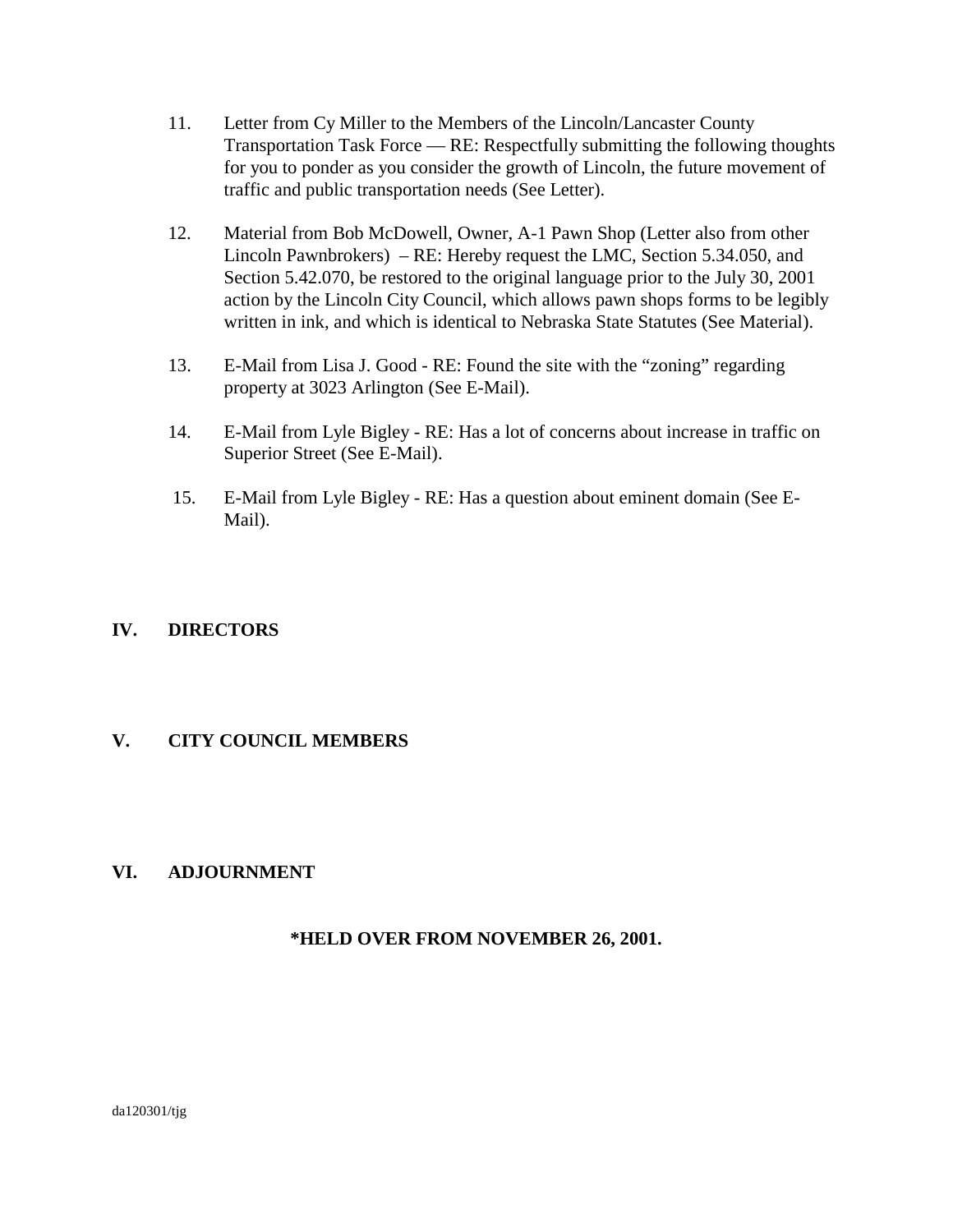- 11. Letter from Cy Miller to the Members of the Lincoln/Lancaster County Transportation Task Force — RE: Respectfully submitting the following thoughts for you to ponder as you consider the growth of Lincoln, the future movement of traffic and public transportation needs (See Letter).
- 12. Material from Bob McDowell, Owner, A-1 Pawn Shop (Letter also from other Lincoln Pawnbrokers) – RE: Hereby request the LMC, Section 5.34.050, and Section 5.42.070, be restored to the original language prior to the July 30, 2001 action by the Lincoln City Council, which allows pawn shops forms to be legibly written in ink, and which is identical to Nebraska State Statutes (See Material).
- 13. E-Mail from Lisa J. Good RE: Found the site with the "zoning" regarding property at 3023 Arlington (See E-Mail).
- 14. E-Mail from Lyle Bigley RE: Has a lot of concerns about increase in traffic on Superior Street (See E-Mail).
- 15. E-Mail from Lyle Bigley RE: Has a question about eminent domain (See E-Mail).

# **IV. DIRECTORS**

# **V. CITY COUNCIL MEMBERS**

# **VI. ADJOURNMENT**

# **\*HELD OVER FROM NOVEMBER 26, 2001.**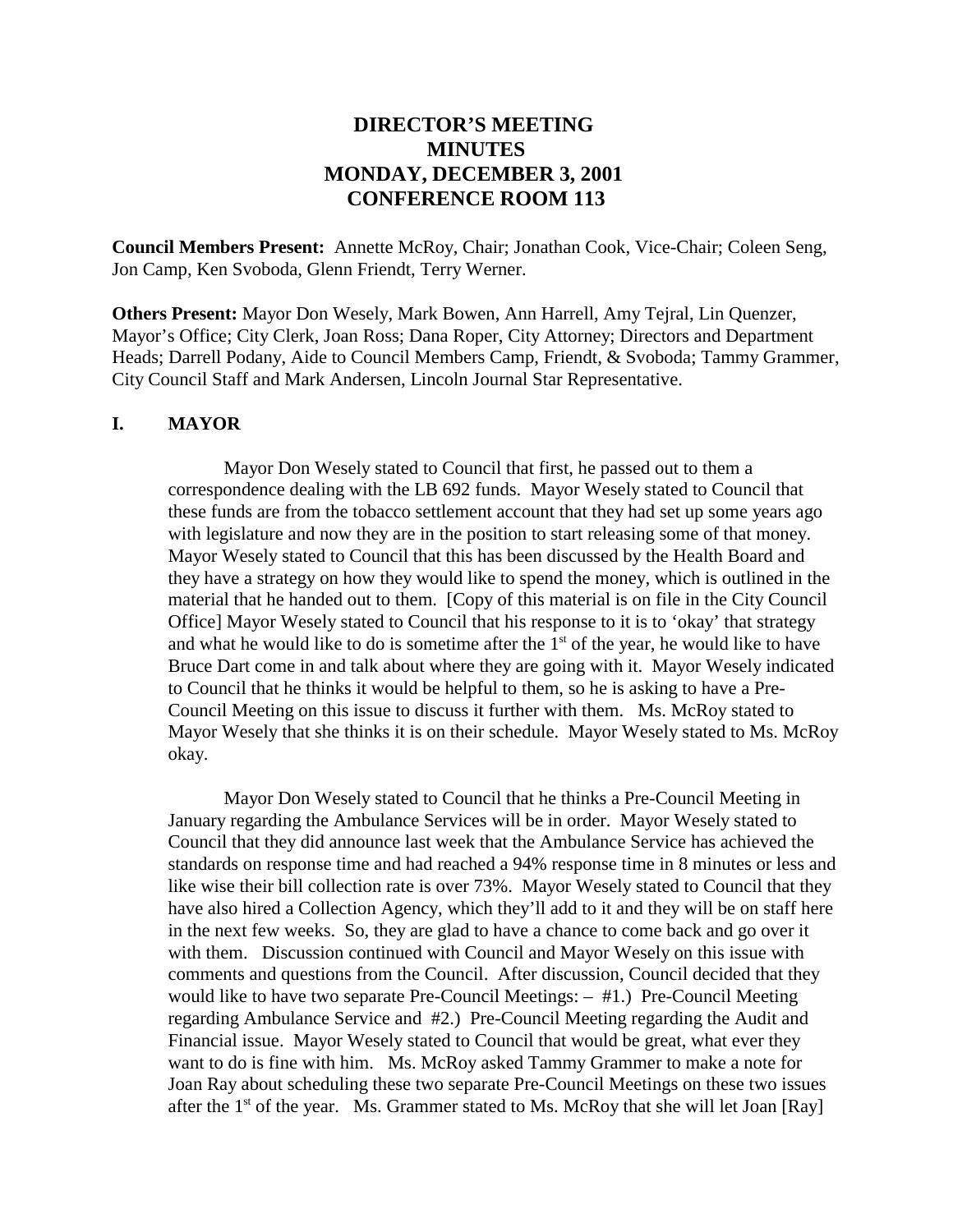# **DIRECTOR'S MEETING MINUTES MONDAY, DECEMBER 3, 2001 CONFERENCE ROOM 113**

**Council Members Present:** Annette McRoy, Chair; Jonathan Cook, Vice-Chair; Coleen Seng, Jon Camp, Ken Svoboda, Glenn Friendt, Terry Werner.

**Others Present:** Mayor Don Wesely, Mark Bowen, Ann Harrell, Amy Tejral, Lin Quenzer, Mayor's Office; City Clerk, Joan Ross; Dana Roper, City Attorney; Directors and Department Heads; Darrell Podany, Aide to Council Members Camp, Friendt, & Svoboda; Tammy Grammer, City Council Staff and Mark Andersen, Lincoln Journal Star Representative.

#### **I. MAYOR**

Mayor Don Wesely stated to Council that first, he passed out to them a correspondence dealing with the LB 692 funds. Mayor Wesely stated to Council that these funds are from the tobacco settlement account that they had set up some years ago with legislature and now they are in the position to start releasing some of that money. Mayor Wesely stated to Council that this has been discussed by the Health Board and they have a strategy on how they would like to spend the money, which is outlined in the material that he handed out to them. [Copy of this material is on file in the City Council Office] Mayor Wesely stated to Council that his response to it is to 'okay' that strategy and what he would like to do is sometime after the  $1<sup>st</sup>$  of the year, he would like to have Bruce Dart come in and talk about where they are going with it. Mayor Wesely indicated to Council that he thinks it would be helpful to them, so he is asking to have a Pre-Council Meeting on this issue to discuss it further with them. Ms. McRoy stated to Mayor Wesely that she thinks it is on their schedule. Mayor Wesely stated to Ms. McRoy okay.

Mayor Don Wesely stated to Council that he thinks a Pre-Council Meeting in January regarding the Ambulance Services will be in order. Mayor Wesely stated to Council that they did announce last week that the Ambulance Service has achieved the standards on response time and had reached a 94% response time in 8 minutes or less and like wise their bill collection rate is over 73%. Mayor Wesely stated to Council that they have also hired a Collection Agency, which they'll add to it and they will be on staff here in the next few weeks. So, they are glad to have a chance to come back and go over it with them. Discussion continued with Council and Mayor Wesely on this issue with comments and questions from the Council. After discussion, Council decided that they would like to have two separate Pre-Council Meetings:  $-$  #1.) Pre-Council Meeting regarding Ambulance Service and #2.) Pre-Council Meeting regarding the Audit and Financial issue. Mayor Wesely stated to Council that would be great, what ever they want to do is fine with him. Ms. McRoy asked Tammy Grammer to make a note for Joan Ray about scheduling these two separate Pre-Council Meetings on these two issues after the  $1<sup>st</sup>$  of the year. Ms. Grammer stated to Ms. McRoy that she will let Joan [Ray]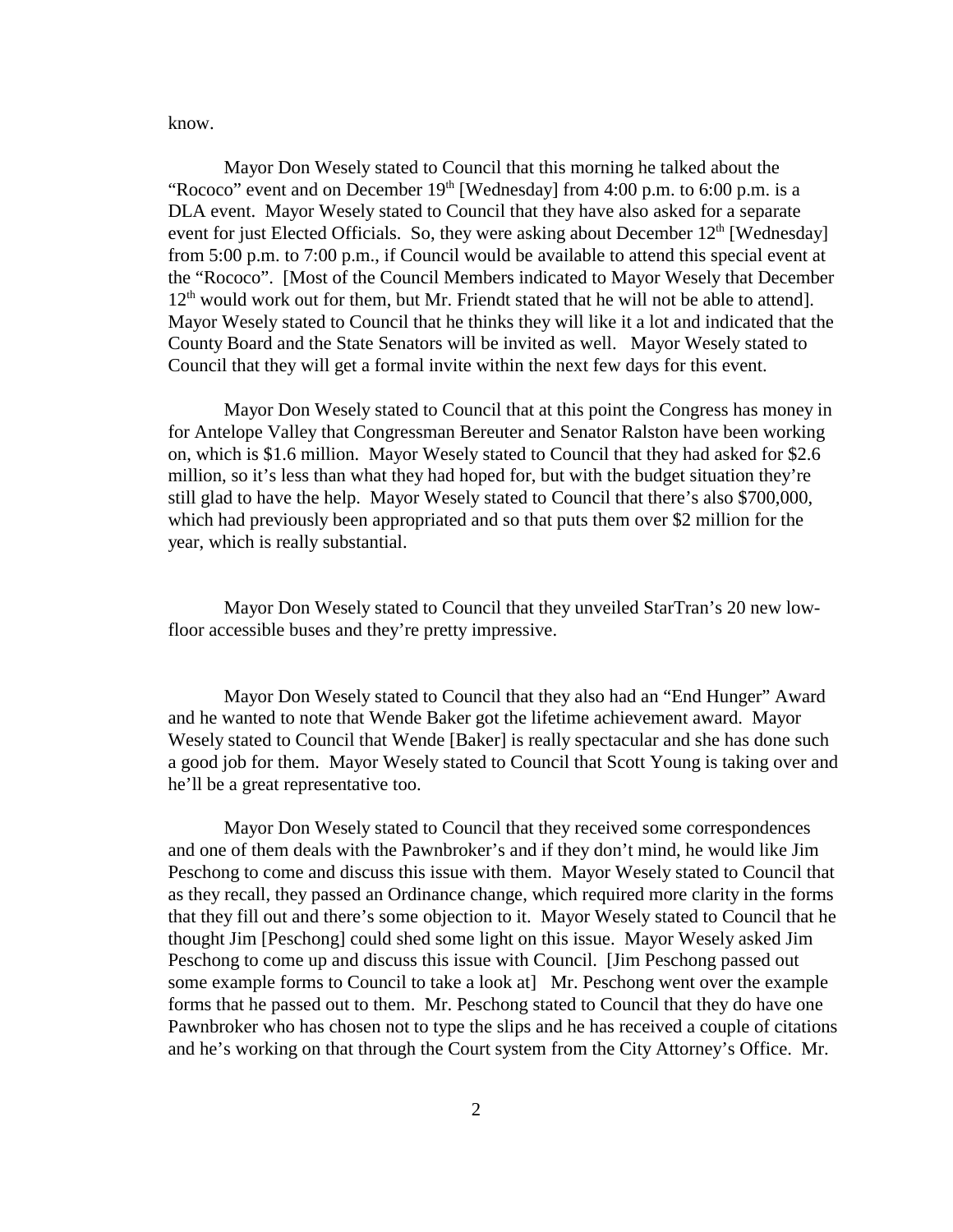know.

Mayor Don Wesely stated to Council that this morning he talked about the "Rococo" event and on December  $19<sup>th</sup>$  [Wednesday] from 4:00 p.m. to 6:00 p.m. is a DLA event. Mayor Wesely stated to Council that they have also asked for a separate event for just Elected Officials. So, they were asking about December  $12<sup>th</sup>$  [Wednesday] from 5:00 p.m. to 7:00 p.m., if Council would be available to attend this special event at the "Rococo". [Most of the Council Members indicated to Mayor Wesely that December  $12<sup>th</sup>$  would work out for them, but Mr. Friendt stated that he will not be able to attend]. Mayor Wesely stated to Council that he thinks they will like it a lot and indicated that the County Board and the State Senators will be invited as well. Mayor Wesely stated to Council that they will get a formal invite within the next few days for this event.

Mayor Don Wesely stated to Council that at this point the Congress has money in for Antelope Valley that Congressman Bereuter and Senator Ralston have been working on, which is \$1.6 million. Mayor Wesely stated to Council that they had asked for \$2.6 million, so it's less than what they had hoped for, but with the budget situation they're still glad to have the help. Mayor Wesely stated to Council that there's also \$700,000, which had previously been appropriated and so that puts them over \$2 million for the year, which is really substantial.

Mayor Don Wesely stated to Council that they unveiled StarTran's 20 new lowfloor accessible buses and they're pretty impressive.

Mayor Don Wesely stated to Council that they also had an "End Hunger" Award and he wanted to note that Wende Baker got the lifetime achievement award. Mayor Wesely stated to Council that Wende [Baker] is really spectacular and she has done such a good job for them. Mayor Wesely stated to Council that Scott Young is taking over and he'll be a great representative too.

Mayor Don Wesely stated to Council that they received some correspondences and one of them deals with the Pawnbroker's and if they don't mind, he would like Jim Peschong to come and discuss this issue with them. Mayor Wesely stated to Council that as they recall, they passed an Ordinance change, which required more clarity in the forms that they fill out and there's some objection to it. Mayor Wesely stated to Council that he thought Jim [Peschong] could shed some light on this issue. Mayor Wesely asked Jim Peschong to come up and discuss this issue with Council. [Jim Peschong passed out some example forms to Council to take a look at] Mr. Peschong went over the example forms that he passed out to them. Mr. Peschong stated to Council that they do have one Pawnbroker who has chosen not to type the slips and he has received a couple of citations and he's working on that through the Court system from the City Attorney's Office. Mr.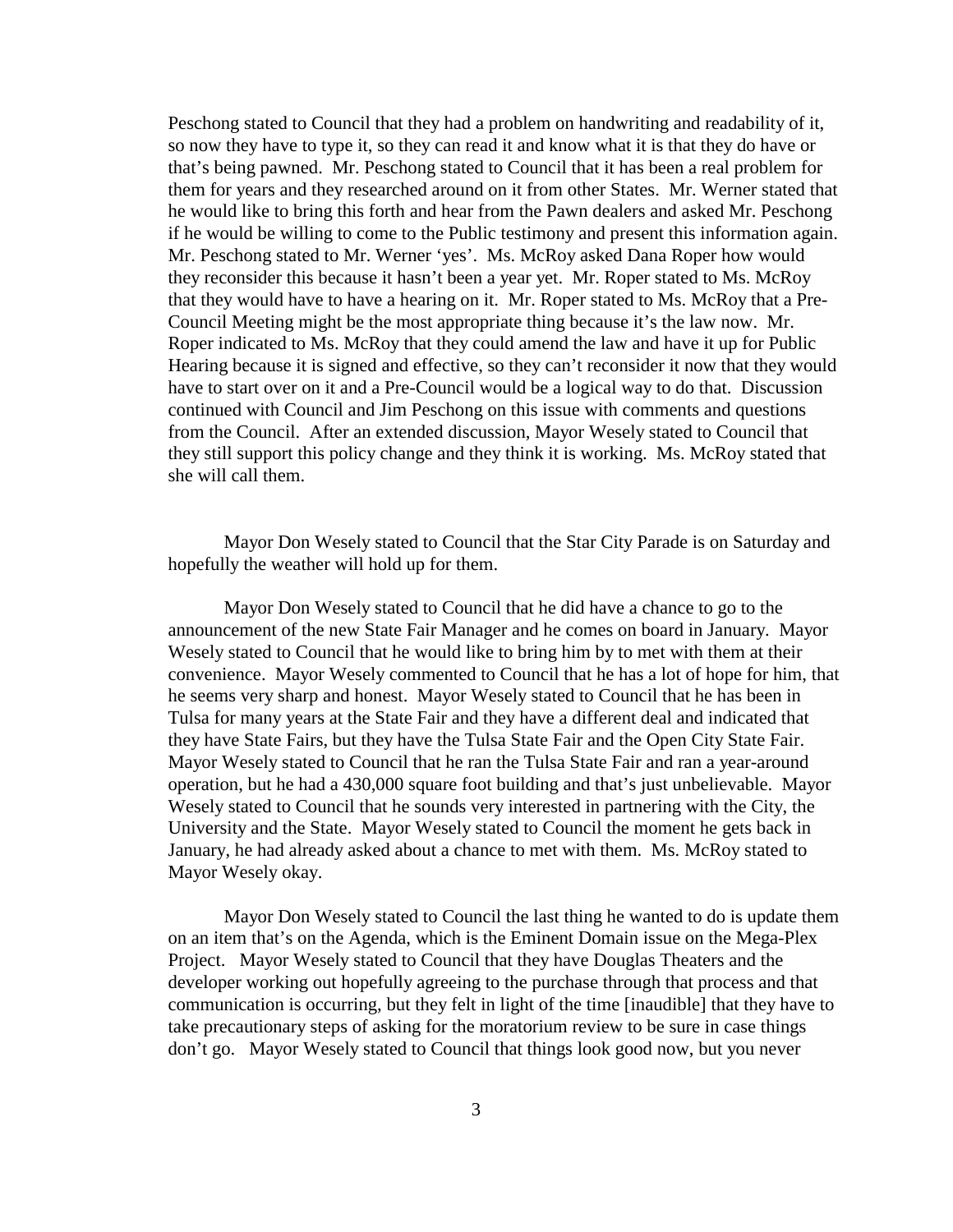Peschong stated to Council that they had a problem on handwriting and readability of it, so now they have to type it, so they can read it and know what it is that they do have or that's being pawned. Mr. Peschong stated to Council that it has been a real problem for them for years and they researched around on it from other States. Mr. Werner stated that he would like to bring this forth and hear from the Pawn dealers and asked Mr. Peschong if he would be willing to come to the Public testimony and present this information again. Mr. Peschong stated to Mr. Werner 'yes'. Ms. McRoy asked Dana Roper how would they reconsider this because it hasn't been a year yet. Mr. Roper stated to Ms. McRoy that they would have to have a hearing on it. Mr. Roper stated to Ms. McRoy that a Pre-Council Meeting might be the most appropriate thing because it's the law now. Mr. Roper indicated to Ms. McRoy that they could amend the law and have it up for Public Hearing because it is signed and effective, so they can't reconsider it now that they would have to start over on it and a Pre-Council would be a logical way to do that. Discussion continued with Council and Jim Peschong on this issue with comments and questions from the Council. After an extended discussion, Mayor Wesely stated to Council that they still support this policy change and they think it is working. Ms. McRoy stated that she will call them.

Mayor Don Wesely stated to Council that the Star City Parade is on Saturday and hopefully the weather will hold up for them.

Mayor Don Wesely stated to Council that he did have a chance to go to the announcement of the new State Fair Manager and he comes on board in January. Mayor Wesely stated to Council that he would like to bring him by to met with them at their convenience. Mayor Wesely commented to Council that he has a lot of hope for him, that he seems very sharp and honest. Mayor Wesely stated to Council that he has been in Tulsa for many years at the State Fair and they have a different deal and indicated that they have State Fairs, but they have the Tulsa State Fair and the Open City State Fair. Mayor Wesely stated to Council that he ran the Tulsa State Fair and ran a year-around operation, but he had a 430,000 square foot building and that's just unbelievable. Mayor Wesely stated to Council that he sounds very interested in partnering with the City, the University and the State. Mayor Wesely stated to Council the moment he gets back in January, he had already asked about a chance to met with them. Ms. McRoy stated to Mayor Wesely okay.

Mayor Don Wesely stated to Council the last thing he wanted to do is update them on an item that's on the Agenda, which is the Eminent Domain issue on the Mega-Plex Project. Mayor Wesely stated to Council that they have Douglas Theaters and the developer working out hopefully agreeing to the purchase through that process and that communication is occurring, but they felt in light of the time [inaudible] that they have to take precautionary steps of asking for the moratorium review to be sure in case things don't go. Mayor Wesely stated to Council that things look good now, but you never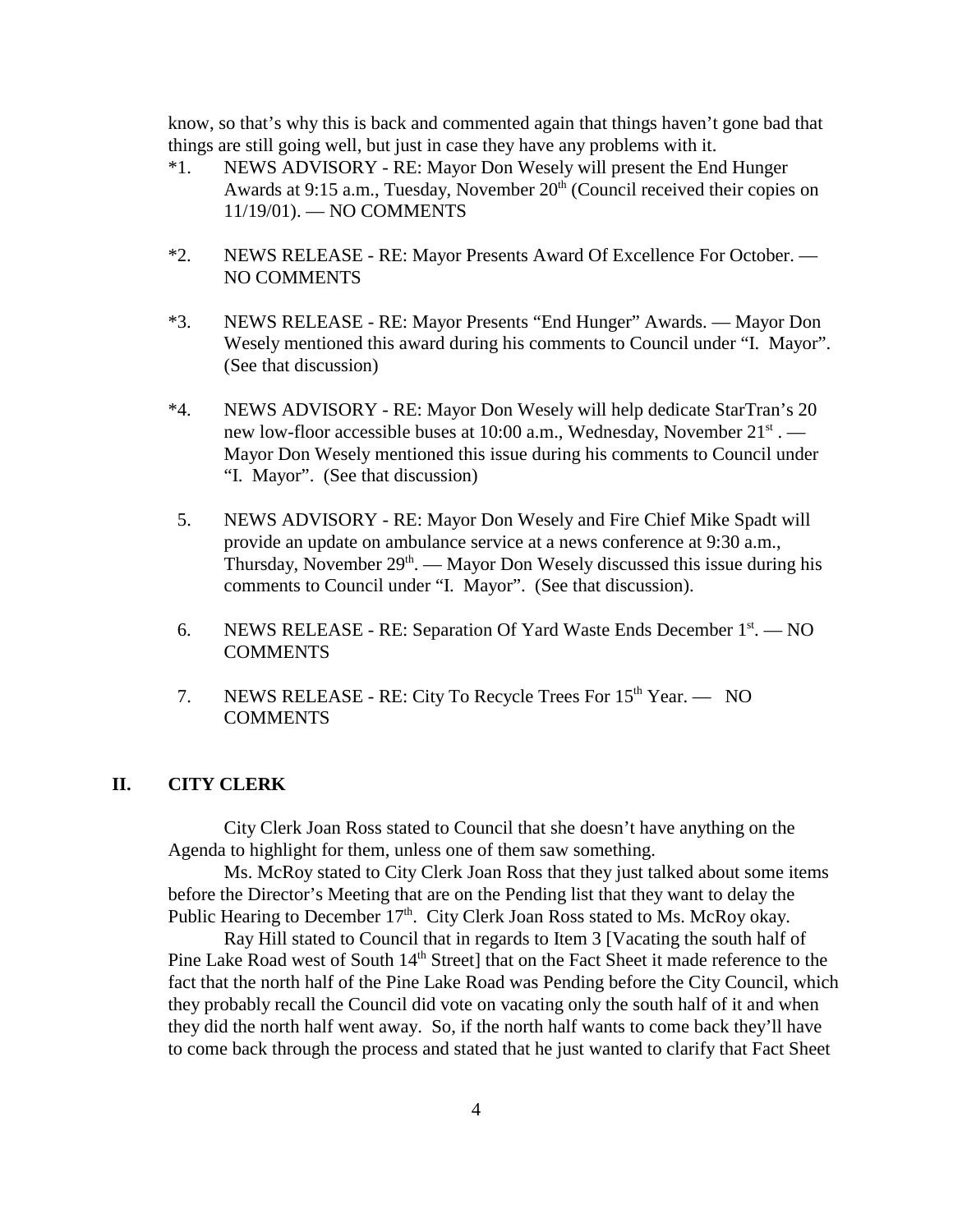know, so that's why this is back and commented again that things haven't gone bad that things are still going well, but just in case they have any problems with it.

- \*1. NEWS ADVISORY RE: Mayor Don Wesely will present the End Hunger Awards at 9:15 a.m., Tuesday, November  $20<sup>th</sup>$  (Council received their copies on 11/19/01). — NO COMMENTS
- \*2. NEWS RELEASE RE: Mayor Presents Award Of Excellence For October. NO COMMENTS
- \*3. NEWS RELEASE RE: Mayor Presents "End Hunger" Awards. Mayor Don Wesely mentioned this award during his comments to Council under "I. Mayor". (See that discussion)
- \*4. NEWS ADVISORY RE: Mayor Don Wesely will help dedicate StarTran's 20 new low-floor accessible buses at 10:00 a.m., Wednesday, November 21<sup>st</sup>. — Mayor Don Wesely mentioned this issue during his comments to Council under "I. Mayor". (See that discussion)
- 5. NEWS ADVISORY RE: Mayor Don Wesely and Fire Chief Mike Spadt will provide an update on ambulance service at a news conference at 9:30 a.m., Thursday, November  $29<sup>th</sup>$ . — Mayor Don Wesely discussed this issue during his comments to Council under "I. Mayor". (See that discussion).
- 6. NEWS RELEASE RE: Separation Of Yard Waste Ends December  $1<sup>st</sup>$ .  $\longrightarrow$  NO **COMMENTS**
- 7. NEWS RELEASE RE: City To Recycle Trees For 15<sup>th</sup> Year. NO **COMMENTS**

#### **II. CITY CLERK**

City Clerk Joan Ross stated to Council that she doesn't have anything on the Agenda to highlight for them, unless one of them saw something.

Ms. McRoy stated to City Clerk Joan Ross that they just talked about some items before the Director's Meeting that are on the Pending list that they want to delay the Public Hearing to December  $17<sup>th</sup>$ . City Clerk Joan Ross stated to Ms. McRoy okay.

Ray Hill stated to Council that in regards to Item 3 [Vacating the south half of Pine Lake Road west of South 14<sup>th</sup> Street] that on the Fact Sheet it made reference to the fact that the north half of the Pine Lake Road was Pending before the City Council, which they probably recall the Council did vote on vacating only the south half of it and when they did the north half went away. So, if the north half wants to come back they'll have to come back through the process and stated that he just wanted to clarify that Fact Sheet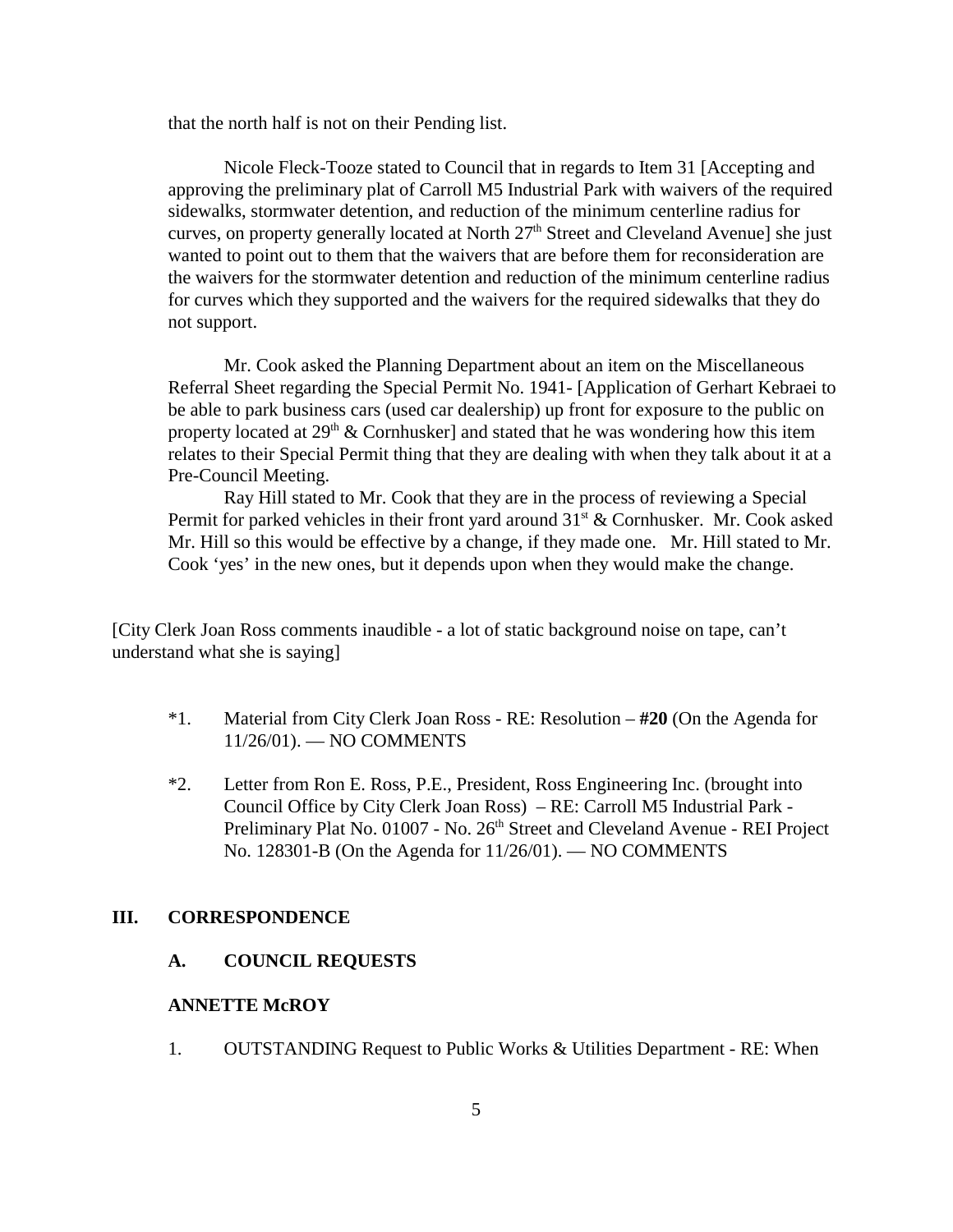that the north half is not on their Pending list.

Nicole Fleck-Tooze stated to Council that in regards to Item 31 [Accepting and approving the preliminary plat of Carroll M5 Industrial Park with waivers of the required sidewalks, stormwater detention, and reduction of the minimum centerline radius for curves, on property generally located at North  $27<sup>th</sup>$  Street and Cleveland Avenue] she just wanted to point out to them that the waivers that are before them for reconsideration are the waivers for the stormwater detention and reduction of the minimum centerline radius for curves which they supported and the waivers for the required sidewalks that they do not support.

Mr. Cook asked the Planning Department about an item on the Miscellaneous Referral Sheet regarding the Special Permit No. 1941- [Application of Gerhart Kebraei to be able to park business cars (used car dealership) up front for exposure to the public on property located at  $29<sup>th</sup>$  & Cornhusker] and stated that he was wondering how this item relates to their Special Permit thing that they are dealing with when they talk about it at a Pre-Council Meeting.

Ray Hill stated to Mr. Cook that they are in the process of reviewing a Special Permit for parked vehicles in their front yard around  $31<sup>st</sup>$  & Cornhusker. Mr. Cook asked Mr. Hill so this would be effective by a change, if they made one. Mr. Hill stated to Mr. Cook 'yes' in the new ones, but it depends upon when they would make the change.

[City Clerk Joan Ross comments inaudible - a lot of static background noise on tape, can't understand what she is saying]

- \*1. Material from City Clerk Joan Ross RE: Resolution **#20** (On the Agenda for 11/26/01). — NO COMMENTS
- \*2. Letter from Ron E. Ross, P.E., President, Ross Engineering Inc. (brought into Council Office by City Clerk Joan Ross) – RE: Carroll M5 Industrial Park - Preliminary Plat No. 01007 - No. 26<sup>th</sup> Street and Cleveland Avenue - REI Project No. 128301-B (On the Agenda for 11/26/01). — NO COMMENTS

### **III. CORRESPONDENCE**

#### **A. COUNCIL REQUESTS**

#### **ANNETTE McROY**

1. OUTSTANDING Request to Public Works & Utilities Department - RE: When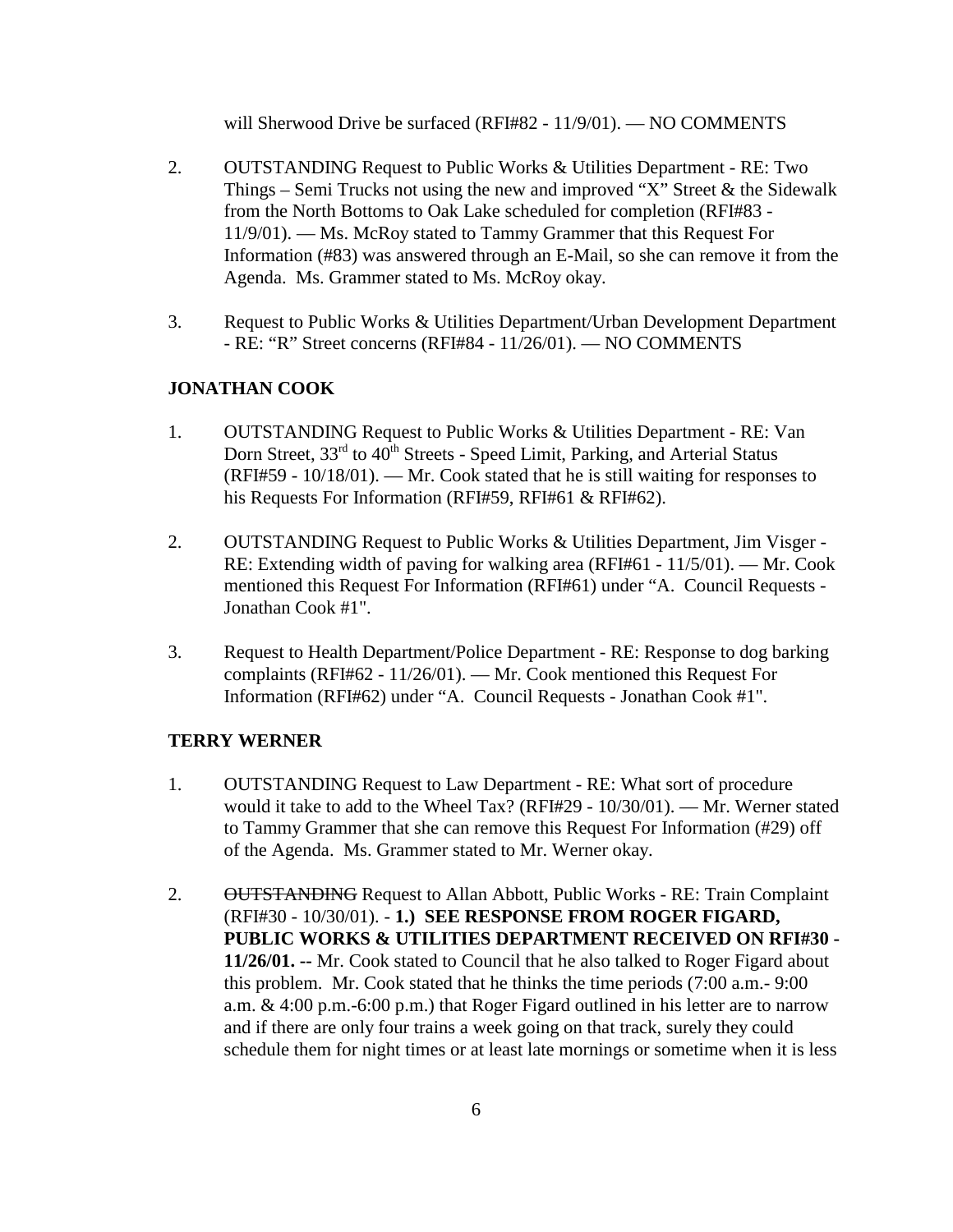will Sherwood Drive be surfaced (RFI#82 - 11/9/01). — NO COMMENTS

- 2. OUTSTANDING Request to Public Works & Utilities Department RE: Two Things – Semi Trucks not using the new and improved "X" Street  $\&$  the Sidewalk from the North Bottoms to Oak Lake scheduled for completion (RFI#83 - 11/9/01). — Ms. McRoy stated to Tammy Grammer that this Request For Information (#83) was answered through an E-Mail, so she can remove it from the Agenda. Ms. Grammer stated to Ms. McRoy okay.
- 3. Request to Public Works & Utilities Department/Urban Development Department - RE: "R" Street concerns (RFI#84 - 11/26/01). — NO COMMENTS

### **JONATHAN COOK**

- 1. OUTSTANDING Request to Public Works & Utilities Department RE: Van Dorn Street, 33<sup>rd</sup> to 40<sup>th</sup> Streets - Speed Limit, Parking, and Arterial Status (RFI#59 - 10/18/01). — Mr. Cook stated that he is still waiting for responses to his Requests For Information (RFI#59, RFI#61 & RFI#62).
- 2. OUTSTANDING Request to Public Works & Utilities Department, Jim Visger RE: Extending width of paving for walking area (RFI#61 - 11/5/01). — Mr. Cook mentioned this Request For Information (RFI#61) under "A. Council Requests - Jonathan Cook #1".
- 3. Request to Health Department/Police Department RE: Response to dog barking complaints (RFI#62 - 11/26/01). — Mr. Cook mentioned this Request For Information (RFI#62) under "A. Council Requests - Jonathan Cook #1".

#### **TERRY WERNER**

- 1. OUTSTANDING Request to Law Department RE: What sort of procedure would it take to add to the Wheel Tax? (RFI#29 - 10/30/01). — Mr. Werner stated to Tammy Grammer that she can remove this Request For Information (#29) off of the Agenda. Ms. Grammer stated to Mr. Werner okay.
- 2. OUTSTANDING Request to Allan Abbott, Public Works RE: Train Complaint (RFI#30 - 10/30/01). - **1.) SEE RESPONSE FROM ROGER FIGARD, PUBLIC WORKS & UTILITIES DEPARTMENT RECEIVED ON RFI#30 - 11/26/01. --** Mr. Cook stated to Council that he also talked to Roger Figard about this problem. Mr. Cook stated that he thinks the time periods (7:00 a.m.- 9:00 a.m. & 4:00 p.m.-6:00 p.m.) that Roger Figard outlined in his letter are to narrow and if there are only four trains a week going on that track, surely they could schedule them for night times or at least late mornings or sometime when it is less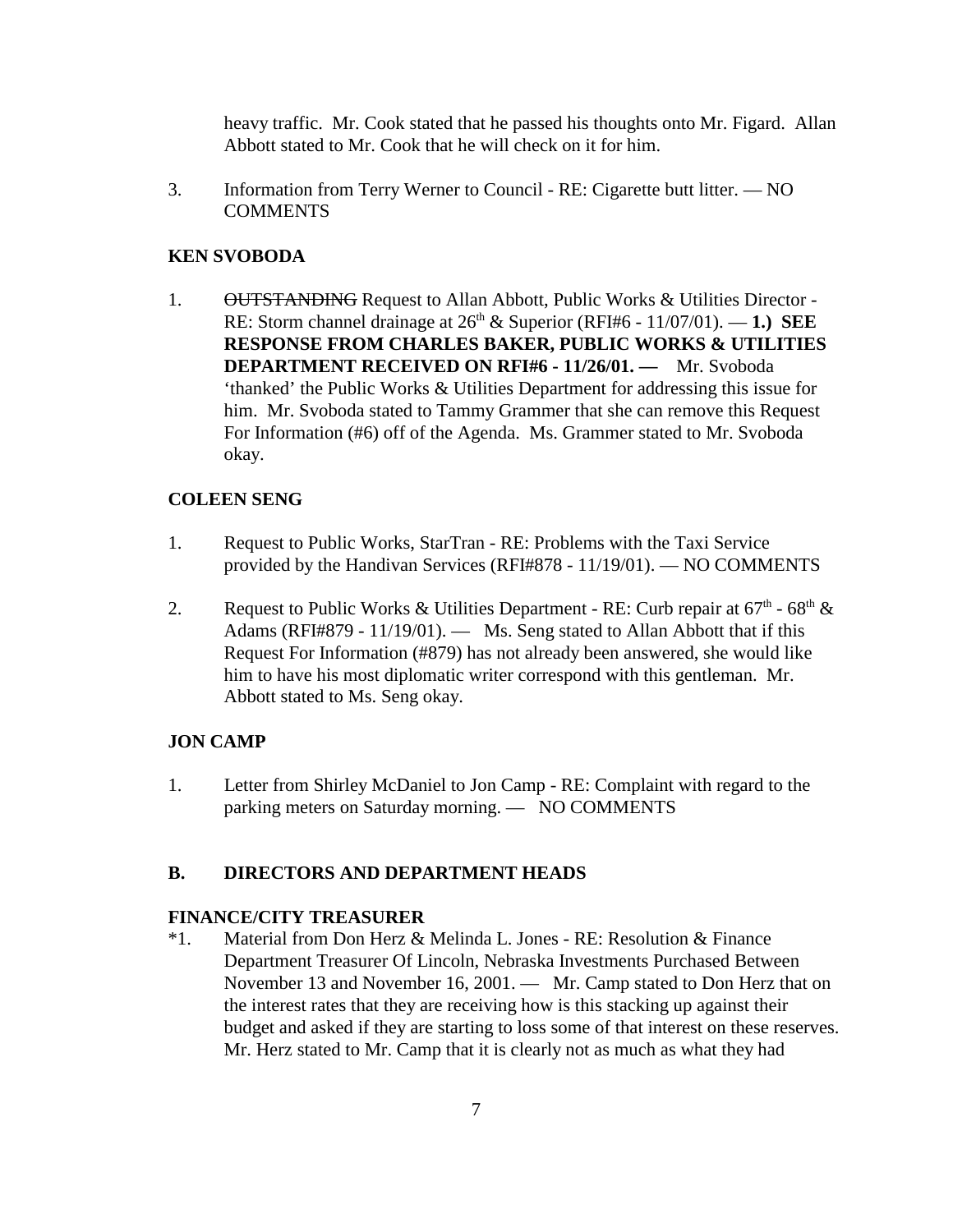heavy traffic. Mr. Cook stated that he passed his thoughts onto Mr. Figard. Allan Abbott stated to Mr. Cook that he will check on it for him.

 3. Information from Terry Werner to Council - RE: Cigarette butt litter. — NO **COMMENTS** 

### **KEN SVOBODA**

1. OUTSTANDING Request to Allan Abbott, Public Works & Utilities Director -RE: Storm channel drainage at  $26<sup>th</sup>$  & Superior (RFI#6 - 11/07/01). — 1.) SEE **RESPONSE FROM CHARLES BAKER, PUBLIC WORKS & UTILITIES DEPARTMENT RECEIVED ON RFI#6 - 11/26/01. —** Mr. Svoboda 'thanked' the Public Works & Utilities Department for addressing this issue for him. Mr. Svoboda stated to Tammy Grammer that she can remove this Request For Information (#6) off of the Agenda. Ms. Grammer stated to Mr. Svoboda okay.

### **COLEEN SENG**

- 1. Request to Public Works, StarTran RE: Problems with the Taxi Service provided by the Handivan Services (RFI#878 - 11/19/01). — NO COMMENTS
- 2. Request to Public Works & Utilities Department RE: Curb repair at  $67<sup>th</sup>$   $68<sup>th</sup>$  & Adams (RFI#879 - 11/19/01). — Ms. Seng stated to Allan Abbott that if this Request For Information (#879) has not already been answered, she would like him to have his most diplomatic writer correspond with this gentleman. Mr. Abbott stated to Ms. Seng okay.

#### **JON CAMP**

1. Letter from Shirley McDaniel to Jon Camp - RE: Complaint with regard to the parking meters on Saturday morning. — NO COMMENTS

#### **B. DIRECTORS AND DEPARTMENT HEADS**

#### **FINANCE/CITY TREASURER**

\*1. Material from Don Herz & Melinda L. Jones - RE: Resolution & Finance Department Treasurer Of Lincoln, Nebraska Investments Purchased Between November 13 and November 16, 2001. — Mr. Camp stated to Don Herz that on the interest rates that they are receiving how is this stacking up against their budget and asked if they are starting to loss some of that interest on these reserves. Mr. Herz stated to Mr. Camp that it is clearly not as much as what they had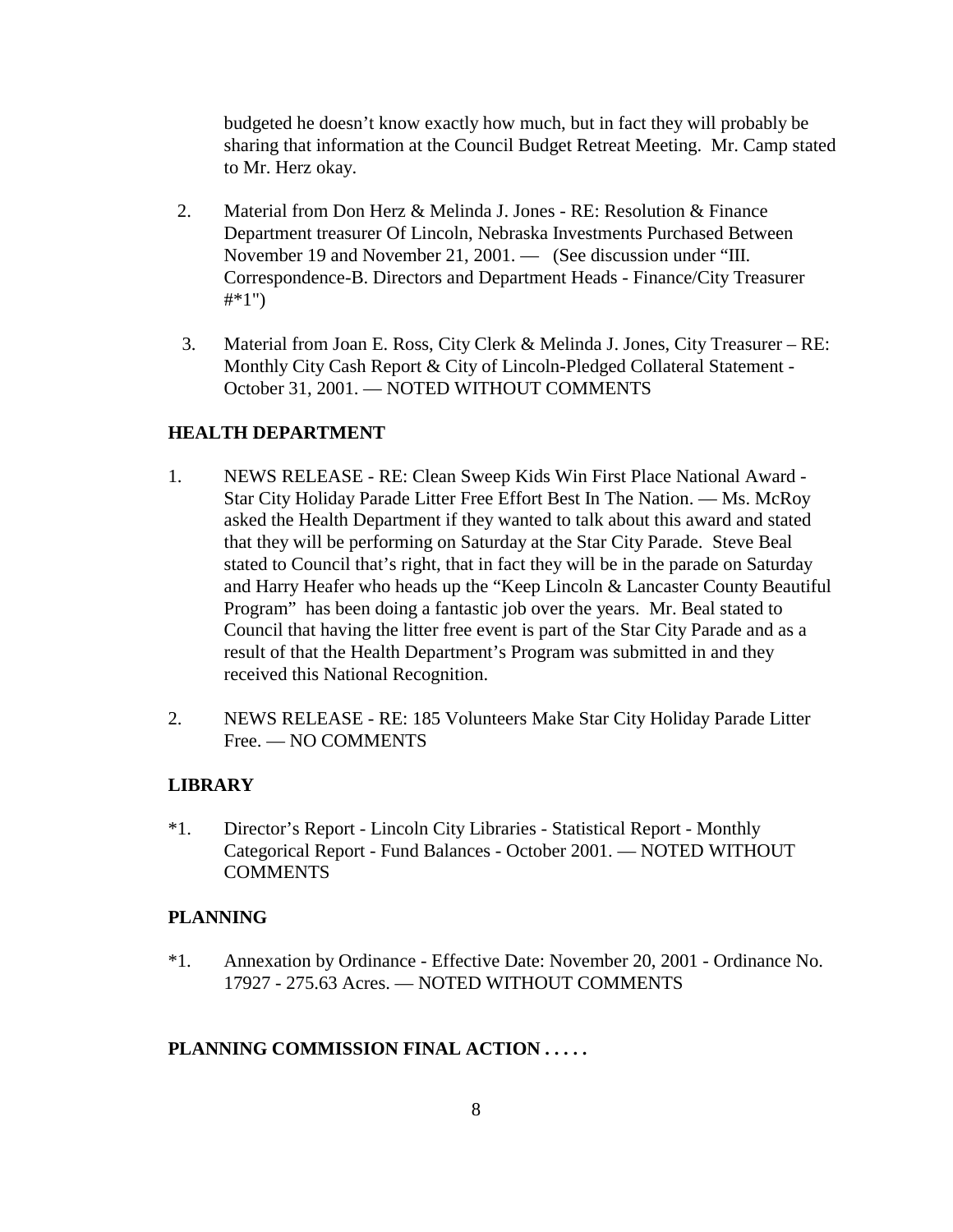budgeted he doesn't know exactly how much, but in fact they will probably be sharing that information at the Council Budget Retreat Meeting. Mr. Camp stated to Mr. Herz okay.

- 2. Material from Don Herz & Melinda J. Jones RE: Resolution & Finance Department treasurer Of Lincoln, Nebraska Investments Purchased Between November 19 and November 21, 2001. — (See discussion under "III. Correspondence-B. Directors and Department Heads - Finance/City Treasurer #\*1")
- 3. Material from Joan E. Ross, City Clerk & Melinda J. Jones, City Treasurer RE: Monthly City Cash Report & City of Lincoln-Pledged Collateral Statement - October 31, 2001. — NOTED WITHOUT COMMENTS

### **HEALTH DEPARTMENT**

- 1. NEWS RELEASE RE: Clean Sweep Kids Win First Place National Award Star City Holiday Parade Litter Free Effort Best In The Nation. — Ms. McRoy asked the Health Department if they wanted to talk about this award and stated that they will be performing on Saturday at the Star City Parade. Steve Beal stated to Council that's right, that in fact they will be in the parade on Saturday and Harry Heafer who heads up the "Keep Lincoln & Lancaster County Beautiful Program" has been doing a fantastic job over the years. Mr. Beal stated to Council that having the litter free event is part of the Star City Parade and as a result of that the Health Department's Program was submitted in and they received this National Recognition.
- 2. NEWS RELEASE RE: 185 Volunteers Make Star City Holiday Parade Litter Free. — NO COMMENTS

### **LIBRARY**

\*1. Director's Report - Lincoln City Libraries - Statistical Report - Monthly Categorical Report - Fund Balances - October 2001. — NOTED WITHOUT COMMENTS

### **PLANNING**

\*1. Annexation by Ordinance - Effective Date: November 20, 2001 - Ordinance No. 17927 - 275.63 Acres. — NOTED WITHOUT COMMENTS

### **PLANNING COMMISSION FINAL ACTION . . . . .**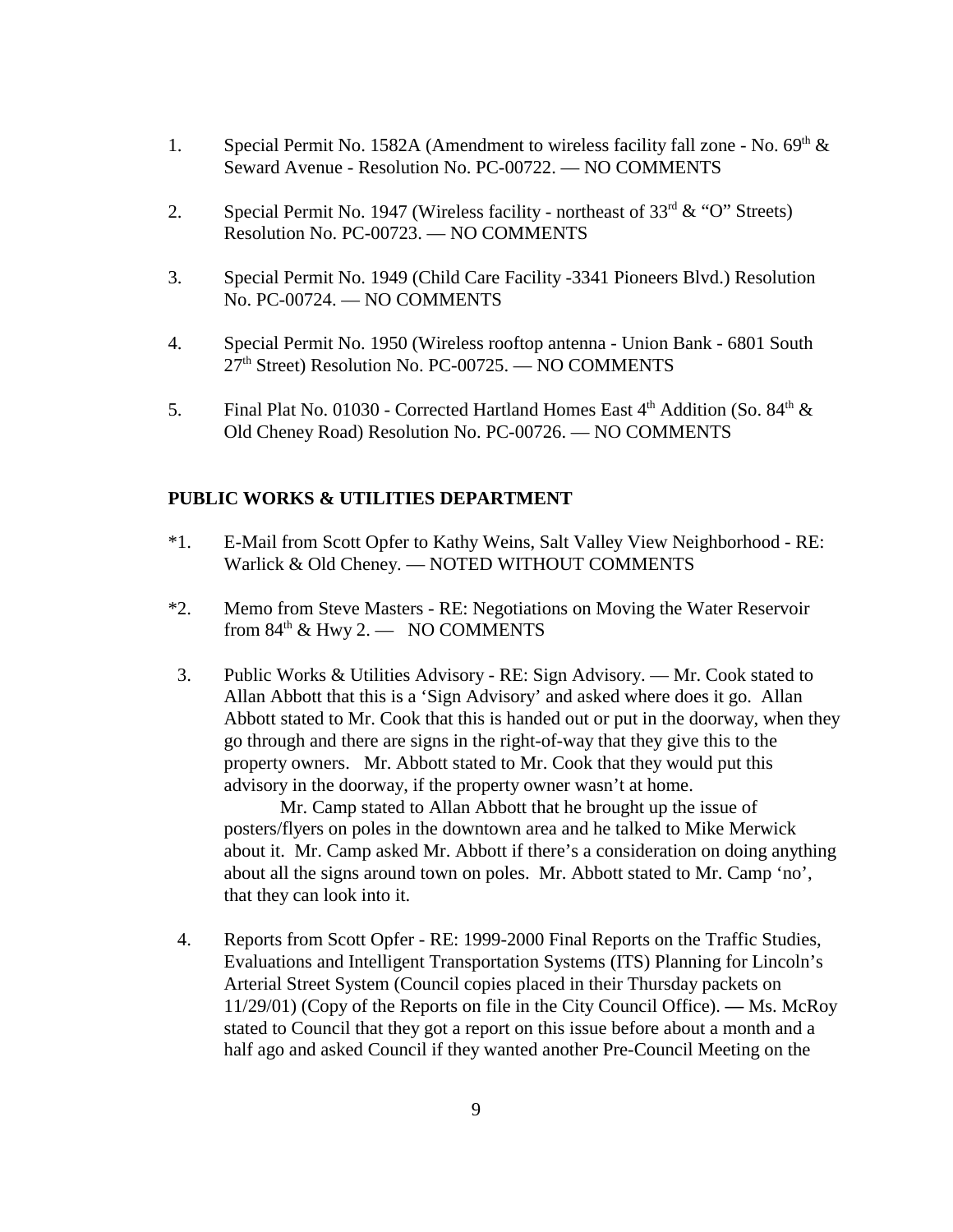- 1. Special Permit No. 1582A (Amendment to wireless facility fall zone No.  $69<sup>th</sup>$  & Seward Avenue - Resolution No. PC-00722. — NO COMMENTS
- 2. Special Permit No. 1947 (Wireless facility northeast of  $33<sup>rd</sup> \& ^{\circ}$  'O'' Streets) Resolution No. PC-00723. — NO COMMENTS
- 3. Special Permit No. 1949 (Child Care Facility -3341 Pioneers Blvd.) Resolution No. PC-00724. — NO COMMENTS
- 4. Special Permit No. 1950 (Wireless rooftop antenna Union Bank 6801 South 27<sup>th</sup> Street) Resolution No. PC-00725. — NO COMMENTS
- 5. Final Plat No. 01030 Corrected Hartland Homes East  $4<sup>th</sup>$  Addition (So. 84<sup>th</sup> & Old Cheney Road) Resolution No. PC-00726. — NO COMMENTS

#### **PUBLIC WORKS & UTILITIES DEPARTMENT**

- \*1. E-Mail from Scott Opfer to Kathy Weins, Salt Valley View Neighborhood RE: Warlick & Old Cheney. — NOTED WITHOUT COMMENTS
- \*2. Memo from Steve Masters RE: Negotiations on Moving the Water Reservoir from  $84<sup>th</sup>$  & Hwy 2. — NO COMMENTS
- 3. Public Works & Utilities Advisory RE: Sign Advisory. Mr. Cook stated to Allan Abbott that this is a 'Sign Advisory' and asked where does it go. Allan Abbott stated to Mr. Cook that this is handed out or put in the doorway, when they go through and there are signs in the right-of-way that they give this to the property owners. Mr. Abbott stated to Mr. Cook that they would put this advisory in the doorway, if the property owner wasn't at home.

Mr. Camp stated to Allan Abbott that he brought up the issue of posters/flyers on poles in the downtown area and he talked to Mike Merwick about it. Mr. Camp asked Mr. Abbott if there's a consideration on doing anything about all the signs around town on poles. Mr. Abbott stated to Mr. Camp 'no', that they can look into it.

4. Reports from Scott Opfer - RE: 1999-2000 Final Reports on the Traffic Studies, Evaluations and Intelligent Transportation Systems (ITS) Planning for Lincoln's Arterial Street System (Council copies placed in their Thursday packets on 11/29/01) (Copy of the Reports on file in the City Council Office). **—** Ms. McRoy stated to Council that they got a report on this issue before about a month and a half ago and asked Council if they wanted another Pre-Council Meeting on the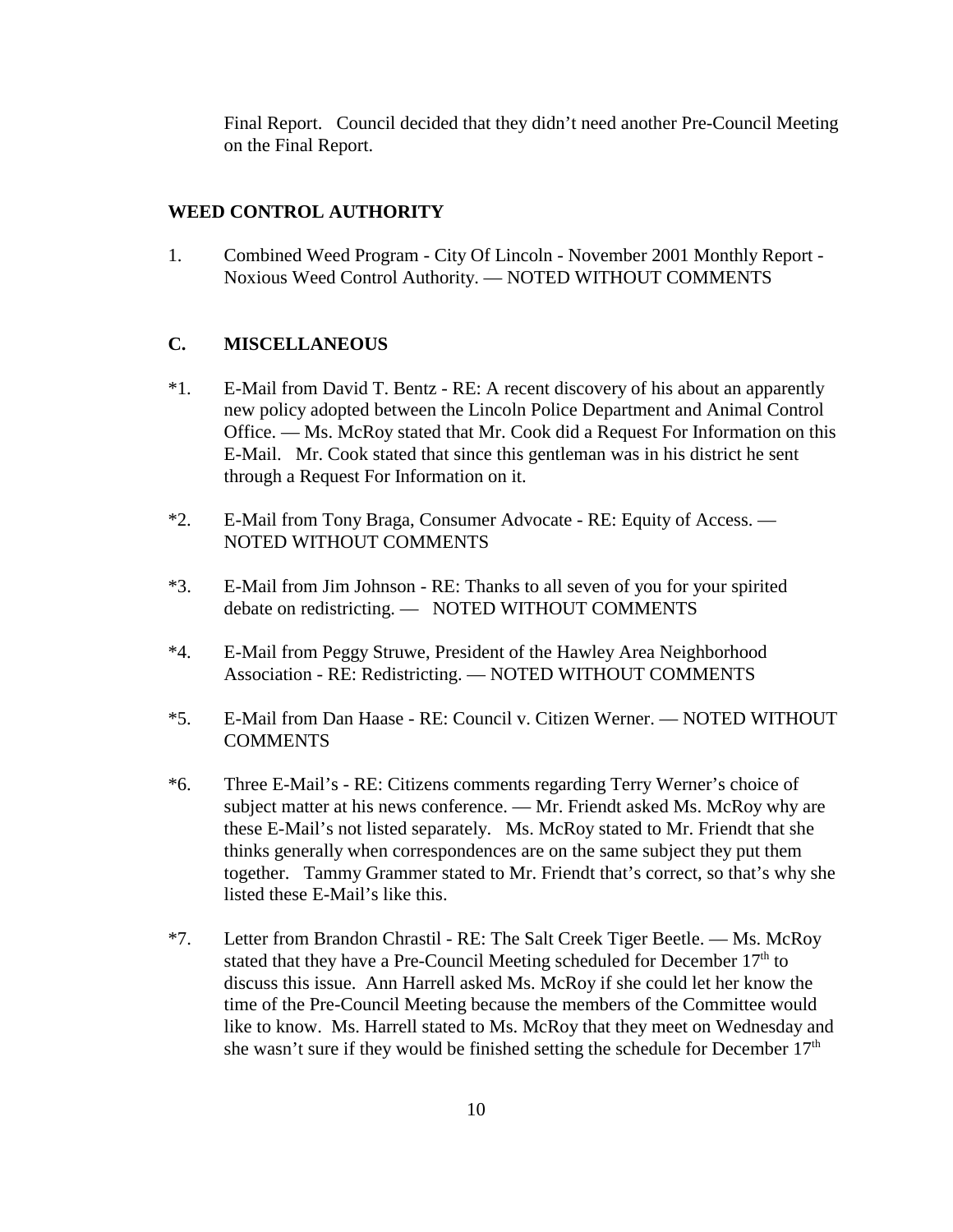Final Report. Council decided that they didn't need another Pre-Council Meeting on the Final Report.

### **WEED CONTROL AUTHORITY**

1. Combined Weed Program - City Of Lincoln - November 2001 Monthly Report - Noxious Weed Control Authority. — NOTED WITHOUT COMMENTS

### **C. MISCELLANEOUS**

- \*1. E-Mail from David T. Bentz RE: A recent discovery of his about an apparently new policy adopted between the Lincoln Police Department and Animal Control Office. — Ms. McRoy stated that Mr. Cook did a Request For Information on this E-Mail. Mr. Cook stated that since this gentleman was in his district he sent through a Request For Information on it.
- \*2. E-Mail from Tony Braga, Consumer Advocate RE: Equity of Access. NOTED WITHOUT COMMENTS
- \*3. E-Mail from Jim Johnson RE: Thanks to all seven of you for your spirited debate on redistricting. — NOTED WITHOUT COMMENTS
- \*4. E-Mail from Peggy Struwe, President of the Hawley Area Neighborhood Association - RE: Redistricting. — NOTED WITHOUT COMMENTS
- \*5. E-Mail from Dan Haase RE: Council v. Citizen Werner. NOTED WITHOUT **COMMENTS**
- \*6. Three E-Mail's RE: Citizens comments regarding Terry Werner's choice of subject matter at his news conference. — Mr. Friendt asked Ms. McRoy why are these E-Mail's not listed separately. Ms. McRoy stated to Mr. Friendt that she thinks generally when correspondences are on the same subject they put them together. Tammy Grammer stated to Mr. Friendt that's correct, so that's why she listed these E-Mail's like this.
- \*7. Letter from Brandon Chrastil RE: The Salt Creek Tiger Beetle. Ms. McRoy stated that they have a Pre-Council Meeting scheduled for December 17<sup>th</sup> to discuss this issue. Ann Harrell asked Ms. McRoy if she could let her know the time of the Pre-Council Meeting because the members of the Committee would like to know. Ms. Harrell stated to Ms. McRoy that they meet on Wednesday and she wasn't sure if they would be finished setting the schedule for December  $17<sup>th</sup>$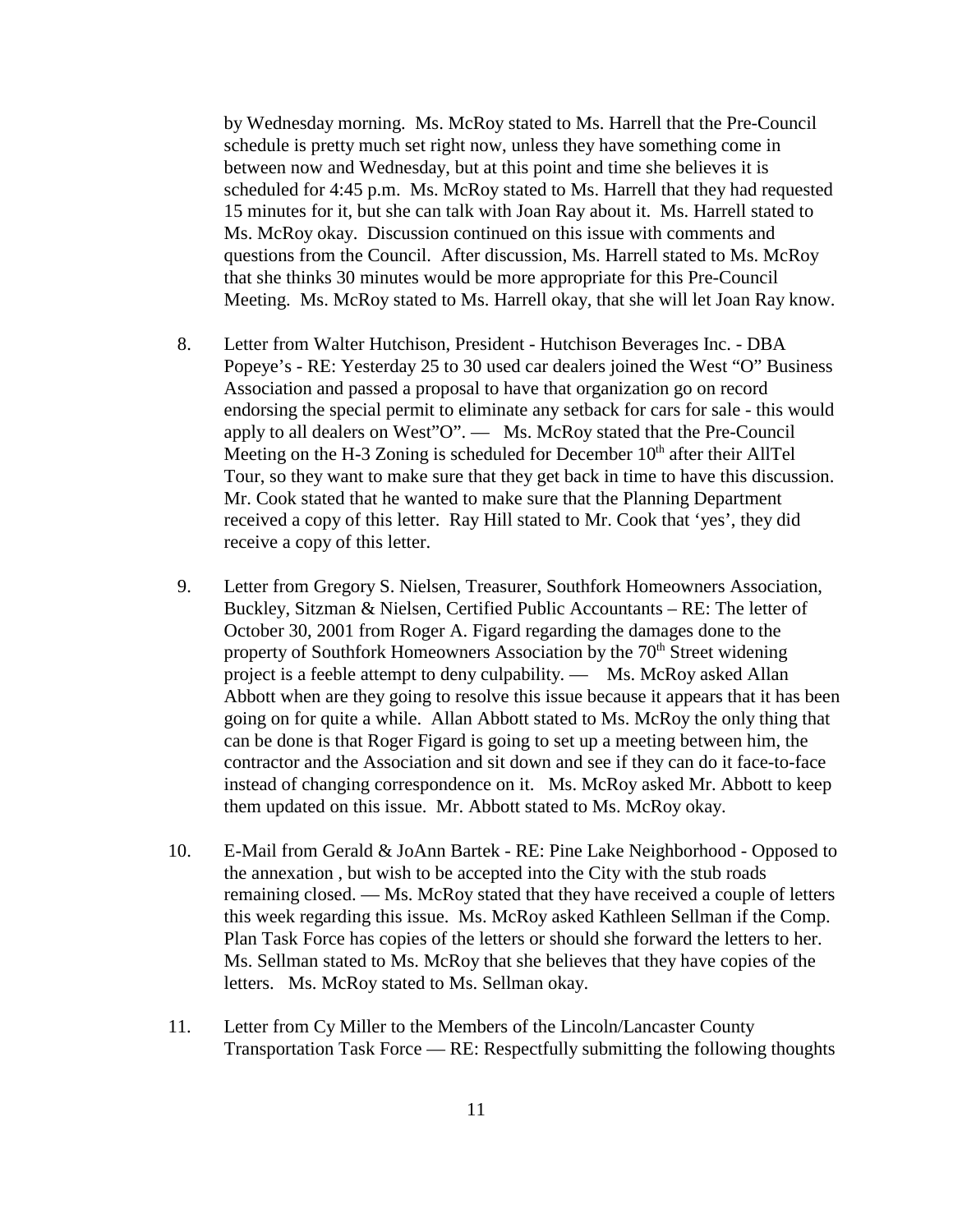by Wednesday morning. Ms. McRoy stated to Ms. Harrell that the Pre-Council schedule is pretty much set right now, unless they have something come in between now and Wednesday, but at this point and time she believes it is scheduled for 4:45 p.m. Ms. McRoy stated to Ms. Harrell that they had requested 15 minutes for it, but she can talk with Joan Ray about it. Ms. Harrell stated to Ms. McRoy okay. Discussion continued on this issue with comments and questions from the Council. After discussion, Ms. Harrell stated to Ms. McRoy that she thinks 30 minutes would be more appropriate for this Pre-Council Meeting. Ms. McRoy stated to Ms. Harrell okay, that she will let Joan Ray know.

- 8. Letter from Walter Hutchison, President Hutchison Beverages Inc. DBA Popeye's - RE: Yesterday 25 to 30 used car dealers joined the West "O" Business Association and passed a proposal to have that organization go on record endorsing the special permit to eliminate any setback for cars for sale - this would apply to all dealers on West"O". — Ms. McRoy stated that the Pre-Council Meeting on the H-3 Zoning is scheduled for December  $10<sup>th</sup>$  after their AllTel Tour, so they want to make sure that they get back in time to have this discussion. Mr. Cook stated that he wanted to make sure that the Planning Department received a copy of this letter. Ray Hill stated to Mr. Cook that 'yes', they did receive a copy of this letter.
- 9. Letter from Gregory S. Nielsen, Treasurer, Southfork Homeowners Association, Buckley, Sitzman & Nielsen, Certified Public Accountants – RE: The letter of October 30, 2001 from Roger A. Figard regarding the damages done to the property of Southfork Homeowners Association by the  $70<sup>th</sup>$  Street widening project is a feeble attempt to deny culpability. — Ms. McRoy asked Allan Abbott when are they going to resolve this issue because it appears that it has been going on for quite a while. Allan Abbott stated to Ms. McRoy the only thing that can be done is that Roger Figard is going to set up a meeting between him, the contractor and the Association and sit down and see if they can do it face-to-face instead of changing correspondence on it. Ms. McRoy asked Mr. Abbott to keep them updated on this issue. Mr. Abbott stated to Ms. McRoy okay.
- 10. E-Mail from Gerald & JoAnn Bartek RE: Pine Lake Neighborhood Opposed to the annexation , but wish to be accepted into the City with the stub roads remaining closed. — Ms. McRoy stated that they have received a couple of letters this week regarding this issue. Ms. McRoy asked Kathleen Sellman if the Comp. Plan Task Force has copies of the letters or should she forward the letters to her. Ms. Sellman stated to Ms. McRoy that she believes that they have copies of the letters. Ms. McRoy stated to Ms. Sellman okay.
- 11. Letter from Cy Miller to the Members of the Lincoln/Lancaster County Transportation Task Force — RE: Respectfully submitting the following thoughts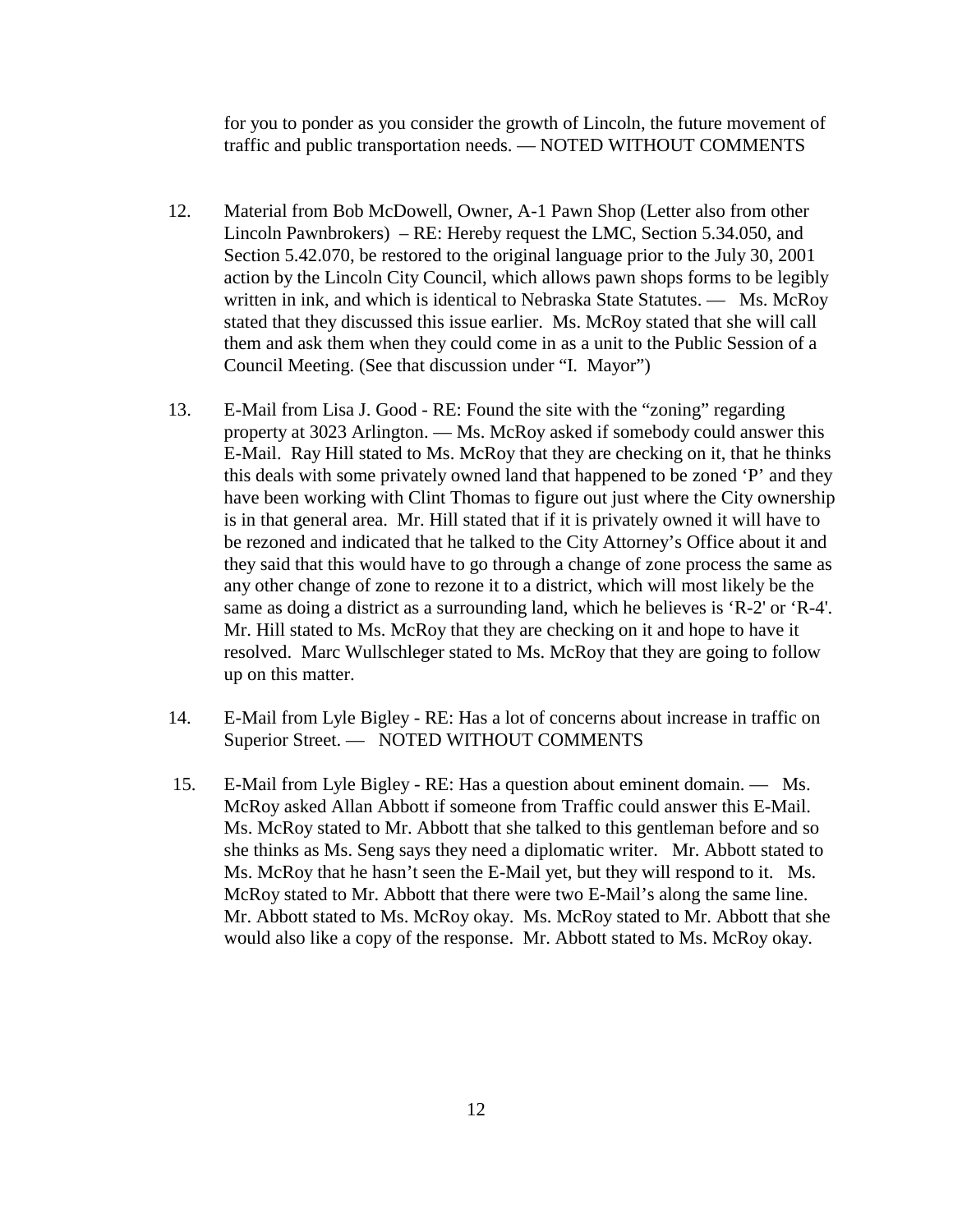for you to ponder as you consider the growth of Lincoln, the future movement of traffic and public transportation needs. — NOTED WITHOUT COMMENTS

- 12. Material from Bob McDowell, Owner, A-1 Pawn Shop (Letter also from other Lincoln Pawnbrokers) – RE: Hereby request the LMC, Section 5.34.050, and Section 5.42.070, be restored to the original language prior to the July 30, 2001 action by the Lincoln City Council, which allows pawn shops forms to be legibly written in ink, and which is identical to Nebraska State Statutes. — Ms. McRoy stated that they discussed this issue earlier. Ms. McRoy stated that she will call them and ask them when they could come in as a unit to the Public Session of a Council Meeting. (See that discussion under "I. Mayor")
- 13. E-Mail from Lisa J. Good RE: Found the site with the "zoning" regarding property at 3023 Arlington. — Ms. McRoy asked if somebody could answer this E-Mail. Ray Hill stated to Ms. McRoy that they are checking on it, that he thinks this deals with some privately owned land that happened to be zoned 'P' and they have been working with Clint Thomas to figure out just where the City ownership is in that general area. Mr. Hill stated that if it is privately owned it will have to be rezoned and indicated that he talked to the City Attorney's Office about it and they said that this would have to go through a change of zone process the same as any other change of zone to rezone it to a district, which will most likely be the same as doing a district as a surrounding land, which he believes is 'R-2' or 'R-4'. Mr. Hill stated to Ms. McRoy that they are checking on it and hope to have it resolved. Marc Wullschleger stated to Ms. McRoy that they are going to follow up on this matter.
- 14. E-Mail from Lyle Bigley RE: Has a lot of concerns about increase in traffic on Superior Street. — NOTED WITHOUT COMMENTS
- 15. E-Mail from Lyle Bigley RE: Has a question about eminent domain. Ms. McRoy asked Allan Abbott if someone from Traffic could answer this E-Mail. Ms. McRoy stated to Mr. Abbott that she talked to this gentleman before and so she thinks as Ms. Seng says they need a diplomatic writer. Mr. Abbott stated to Ms. McRoy that he hasn't seen the E-Mail yet, but they will respond to it. Ms. McRoy stated to Mr. Abbott that there were two E-Mail's along the same line. Mr. Abbott stated to Ms. McRoy okay. Ms. McRoy stated to Mr. Abbott that she would also like a copy of the response. Mr. Abbott stated to Ms. McRoy okay.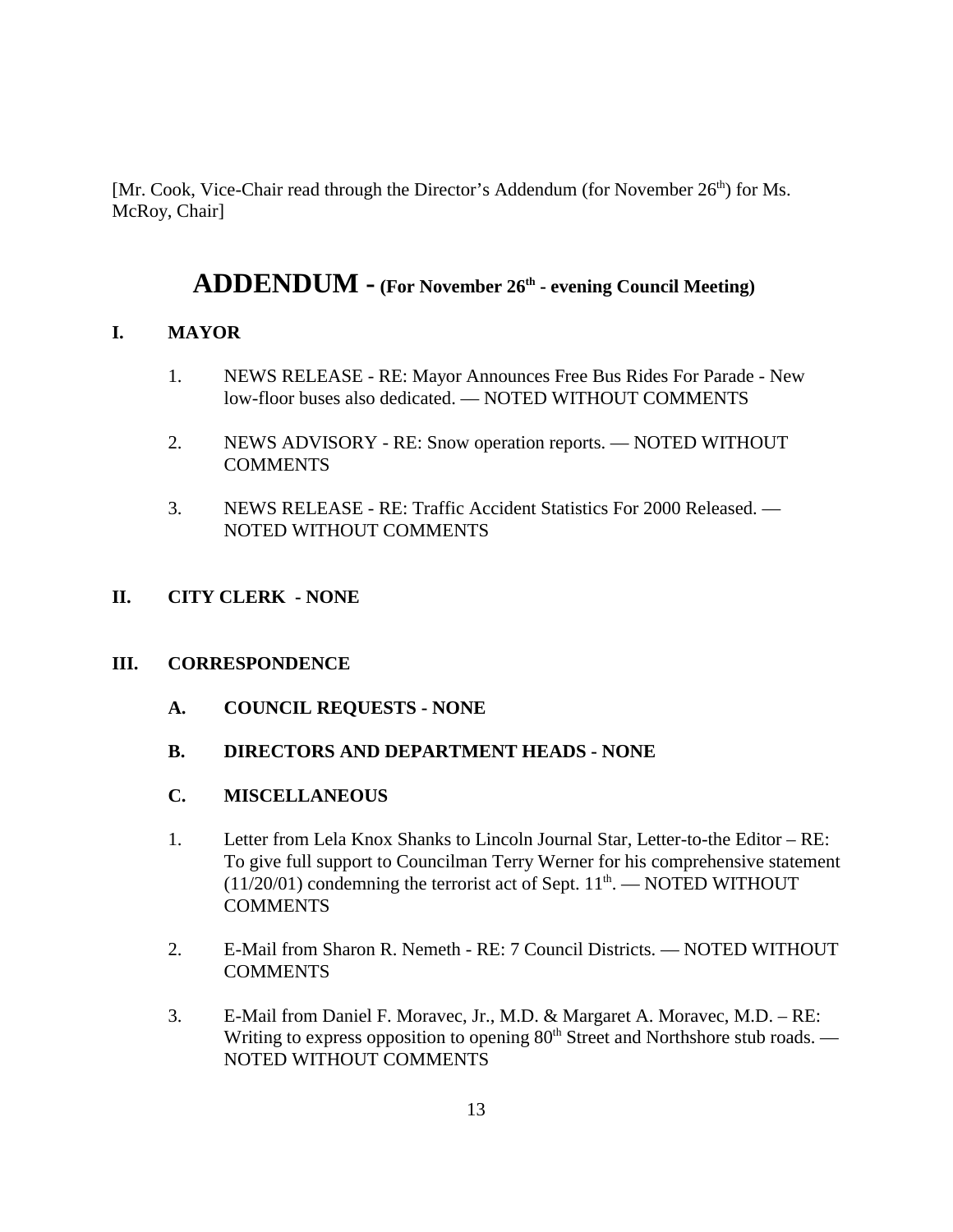[Mr. Cook, Vice-Chair read through the Director's Addendum (for November  $26<sup>th</sup>$ ) for Ms. McRoy, Chair]

# **ADDENDUM - (For November 26th - evening Council Meeting)**

# **I. MAYOR**

- 1. NEWS RELEASE RE: Mayor Announces Free Bus Rides For Parade New low-floor buses also dedicated. — NOTED WITHOUT COMMENTS
- 2. NEWS ADVISORY RE: Snow operation reports. NOTED WITHOUT COMMENTS
- 3. NEWS RELEASE RE: Traffic Accident Statistics For 2000 Released. NOTED WITHOUT COMMENTS

# **II. CITY CLERK - NONE**

# **III. CORRESPONDENCE**

- **A. COUNCIL REQUESTS NONE**
- **B. DIRECTORS AND DEPARTMENT HEADS NONE**

# **C. MISCELLANEOUS**

- 1. Letter from Lela Knox Shanks to Lincoln Journal Star, Letter-to-the Editor RE: To give full support to Councilman Terry Werner for his comprehensive statement  $(11/20/01)$  condemning the terrorist act of Sept.  $11<sup>th</sup>$ . — NOTED WITHOUT COMMENTS
- 2. E-Mail from Sharon R. Nemeth RE: 7 Council Districts. NOTED WITHOUT **COMMENTS**
- 3. E-Mail from Daniel F. Moravec, Jr., M.D. & Margaret A. Moravec, M.D. RE: Writing to express opposition to opening  $80<sup>th</sup>$  Street and Northshore stub roads. — NOTED WITHOUT COMMENTS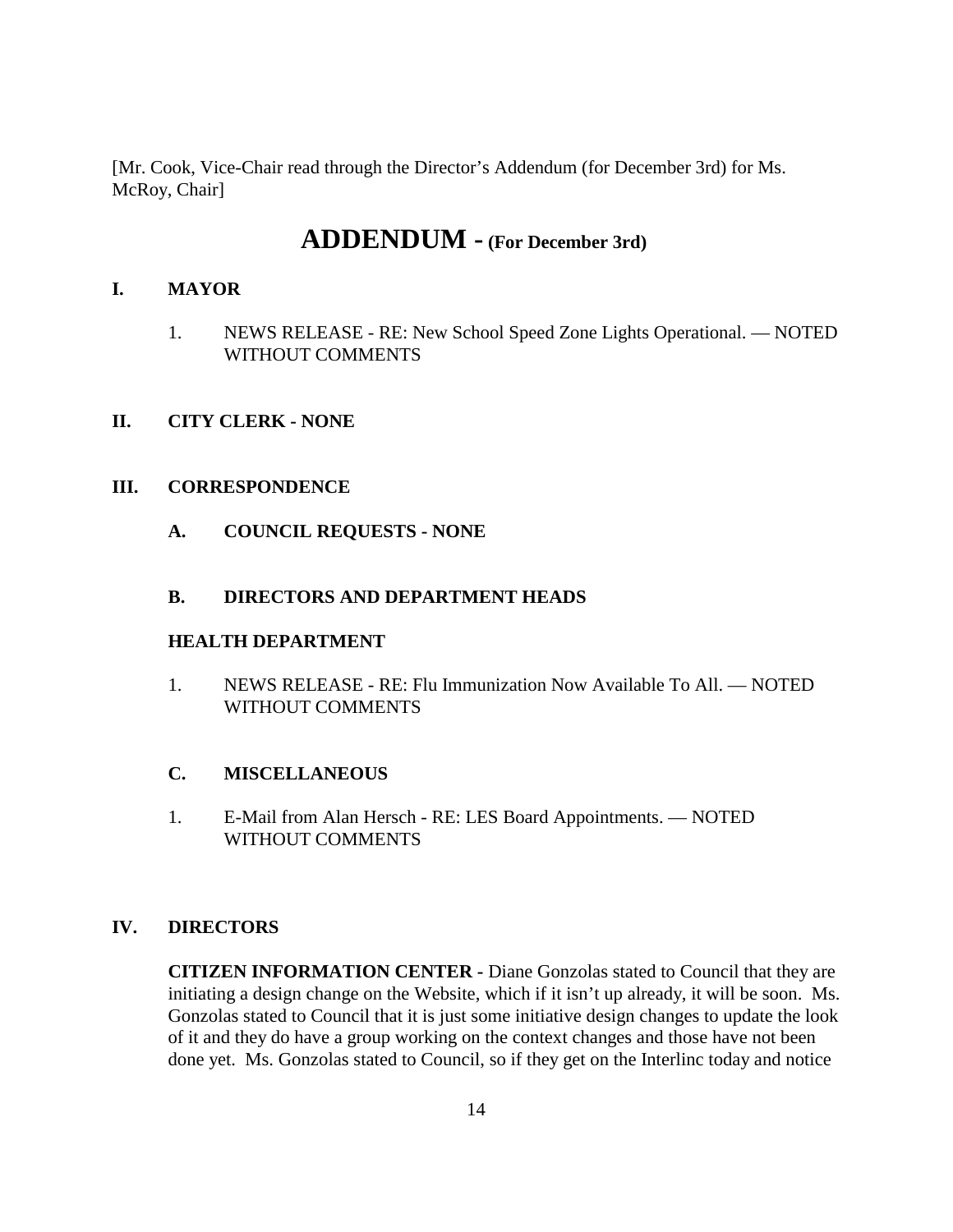[Mr. Cook, Vice-Chair read through the Director's Addendum (for December 3rd) for Ms. McRoy, Chair]

# **ADDENDUM - (For December 3rd)**

### **I. MAYOR**

1. NEWS RELEASE - RE: New School Speed Zone Lights Operational. — NOTED WITHOUT COMMENTS

#### **II. CITY CLERK - NONE**

#### **III. CORRESPONDENCE**

**A. COUNCIL REQUESTS - NONE**

#### **B. DIRECTORS AND DEPARTMENT HEADS**

#### **HEALTH DEPARTMENT**

1. NEWS RELEASE - RE: Flu Immunization Now Available To All. — NOTED WITHOUT COMMENTS

#### **C. MISCELLANEOUS**

1. E-Mail from Alan Hersch - RE: LES Board Appointments. — NOTED WITHOUT COMMENTS

### **IV. DIRECTORS**

**CITIZEN INFORMATION CENTER -** Diane Gonzolas stated to Council that they are initiating a design change on the Website, which if it isn't up already, it will be soon. Ms. Gonzolas stated to Council that it is just some initiative design changes to update the look of it and they do have a group working on the context changes and those have not been done yet. Ms. Gonzolas stated to Council, so if they get on the Interlinc today and notice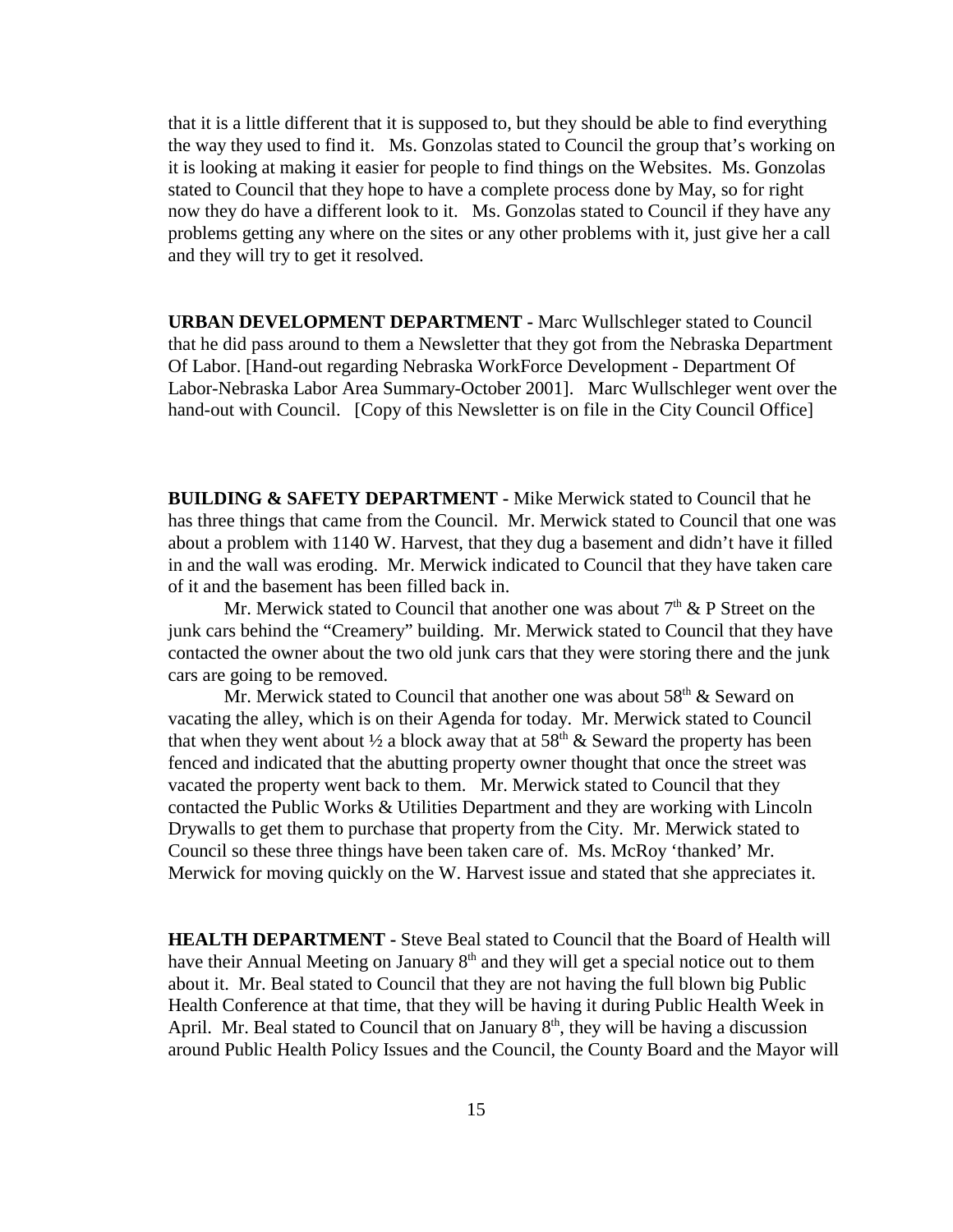that it is a little different that it is supposed to, but they should be able to find everything the way they used to find it. Ms. Gonzolas stated to Council the group that's working on it is looking at making it easier for people to find things on the Websites. Ms. Gonzolas stated to Council that they hope to have a complete process done by May, so for right now they do have a different look to it. Ms. Gonzolas stated to Council if they have any problems getting any where on the sites or any other problems with it, just give her a call and they will try to get it resolved.

**URBAN DEVELOPMENT DEPARTMENT -** Marc Wullschleger stated to Council that he did pass around to them a Newsletter that they got from the Nebraska Department Of Labor. [Hand-out regarding Nebraska WorkForce Development - Department Of Labor-Nebraska Labor Area Summary-October 2001]. Marc Wullschleger went over the hand-out with Council. [Copy of this Newsletter is on file in the City Council Office]

**BUILDING & SAFETY DEPARTMENT -** Mike Merwick stated to Council that he has three things that came from the Council. Mr. Merwick stated to Council that one was about a problem with 1140 W. Harvest, that they dug a basement and didn't have it filled in and the wall was eroding. Mr. Merwick indicated to Council that they have taken care of it and the basement has been filled back in.

Mr. Merwick stated to Council that another one was about  $7<sup>th</sup>$  & P Street on the junk cars behind the "Creamery" building. Mr. Merwick stated to Council that they have contacted the owner about the two old junk cars that they were storing there and the junk cars are going to be removed.

Mr. Merwick stated to Council that another one was about  $58<sup>th</sup>$  & Seward on vacating the alley, which is on their Agenda for today. Mr. Merwick stated to Council that when they went about  $\frac{1}{2}$  a block away that at 58<sup>th</sup> & Seward the property has been fenced and indicated that the abutting property owner thought that once the street was vacated the property went back to them. Mr. Merwick stated to Council that they contacted the Public Works & Utilities Department and they are working with Lincoln Drywalls to get them to purchase that property from the City. Mr. Merwick stated to Council so these three things have been taken care of. Ms. McRoy 'thanked' Mr. Merwick for moving quickly on the W. Harvest issue and stated that she appreciates it.

**HEALTH DEPARTMENT -** Steve Beal stated to Council that the Board of Health will have their Annual Meeting on January  $8<sup>th</sup>$  and they will get a special notice out to them about it. Mr. Beal stated to Council that they are not having the full blown big Public Health Conference at that time, that they will be having it during Public Health Week in April. Mr. Beal stated to Council that on January  $8<sup>th</sup>$ , they will be having a discussion around Public Health Policy Issues and the Council, the County Board and the Mayor will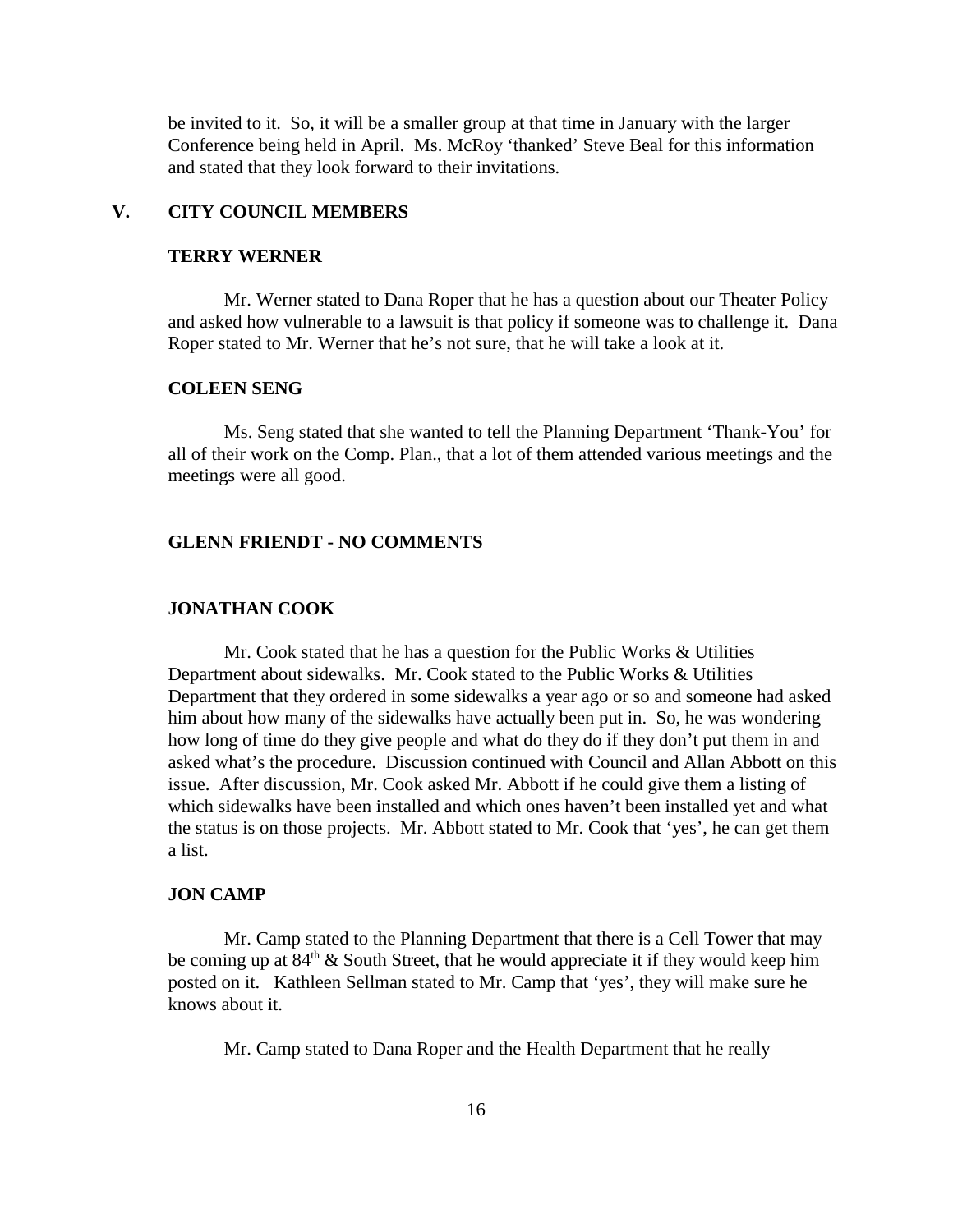be invited to it. So, it will be a smaller group at that time in January with the larger Conference being held in April. Ms. McRoy 'thanked' Steve Beal for this information and stated that they look forward to their invitations.

#### **V. CITY COUNCIL MEMBERS**

### **TERRY WERNER**

Mr. Werner stated to Dana Roper that he has a question about our Theater Policy and asked how vulnerable to a lawsuit is that policy if someone was to challenge it. Dana Roper stated to Mr. Werner that he's not sure, that he will take a look at it.

#### **COLEEN SENG**

Ms. Seng stated that she wanted to tell the Planning Department 'Thank-You' for all of their work on the Comp. Plan., that a lot of them attended various meetings and the meetings were all good.

#### **GLENN FRIENDT - NO COMMENTS**

#### **JONATHAN COOK**

Mr. Cook stated that he has a question for the Public Works & Utilities Department about sidewalks. Mr. Cook stated to the Public Works & Utilities Department that they ordered in some sidewalks a year ago or so and someone had asked him about how many of the sidewalks have actually been put in. So, he was wondering how long of time do they give people and what do they do if they don't put them in and asked what's the procedure. Discussion continued with Council and Allan Abbott on this issue. After discussion, Mr. Cook asked Mr. Abbott if he could give them a listing of which sidewalks have been installed and which ones haven't been installed yet and what the status is on those projects. Mr. Abbott stated to Mr. Cook that 'yes', he can get them a list.

#### **JON CAMP**

Mr. Camp stated to the Planning Department that there is a Cell Tower that may be coming up at  $84<sup>th</sup>$  & South Street, that he would appreciate it if they would keep him posted on it. Kathleen Sellman stated to Mr. Camp that 'yes', they will make sure he knows about it.

Mr. Camp stated to Dana Roper and the Health Department that he really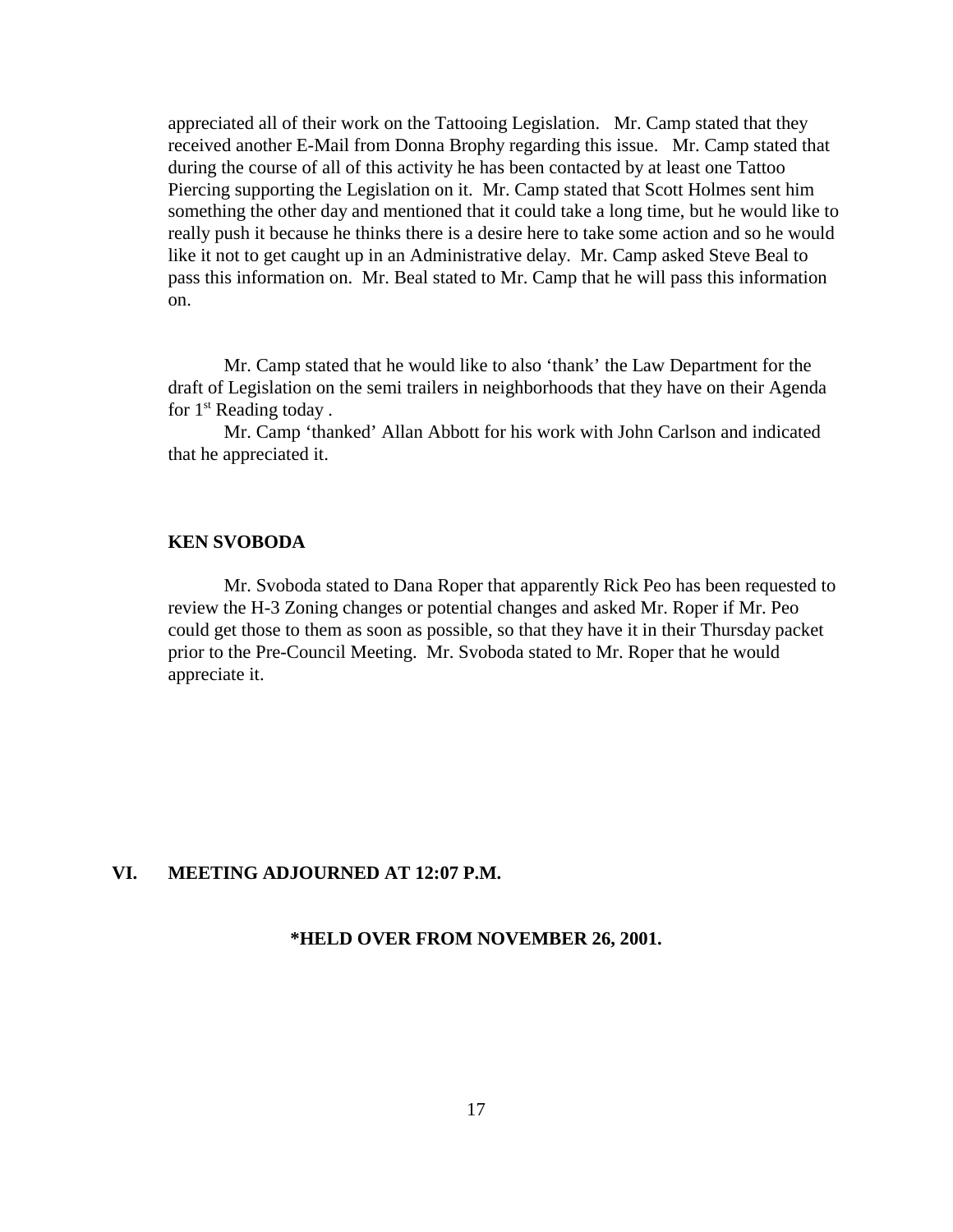appreciated all of their work on the Tattooing Legislation. Mr. Camp stated that they received another E-Mail from Donna Brophy regarding this issue. Mr. Camp stated that during the course of all of this activity he has been contacted by at least one Tattoo Piercing supporting the Legislation on it. Mr. Camp stated that Scott Holmes sent him something the other day and mentioned that it could take a long time, but he would like to really push it because he thinks there is a desire here to take some action and so he would like it not to get caught up in an Administrative delay. Mr. Camp asked Steve Beal to pass this information on. Mr. Beal stated to Mr. Camp that he will pass this information on.

Mr. Camp stated that he would like to also 'thank' the Law Department for the draft of Legislation on the semi trailers in neighborhoods that they have on their Agenda for  $1<sup>st</sup>$  Reading today.

Mr. Camp 'thanked' Allan Abbott for his work with John Carlson and indicated that he appreciated it.

#### **KEN SVOBODA**

Mr. Svoboda stated to Dana Roper that apparently Rick Peo has been requested to review the H-3 Zoning changes or potential changes and asked Mr. Roper if Mr. Peo could get those to them as soon as possible, so that they have it in their Thursday packet prior to the Pre-Council Meeting. Mr. Svoboda stated to Mr. Roper that he would appreciate it.

### **VI. MEETING ADJOURNED AT 12:07 P.M.**

#### **\*HELD OVER FROM NOVEMBER 26, 2001.**